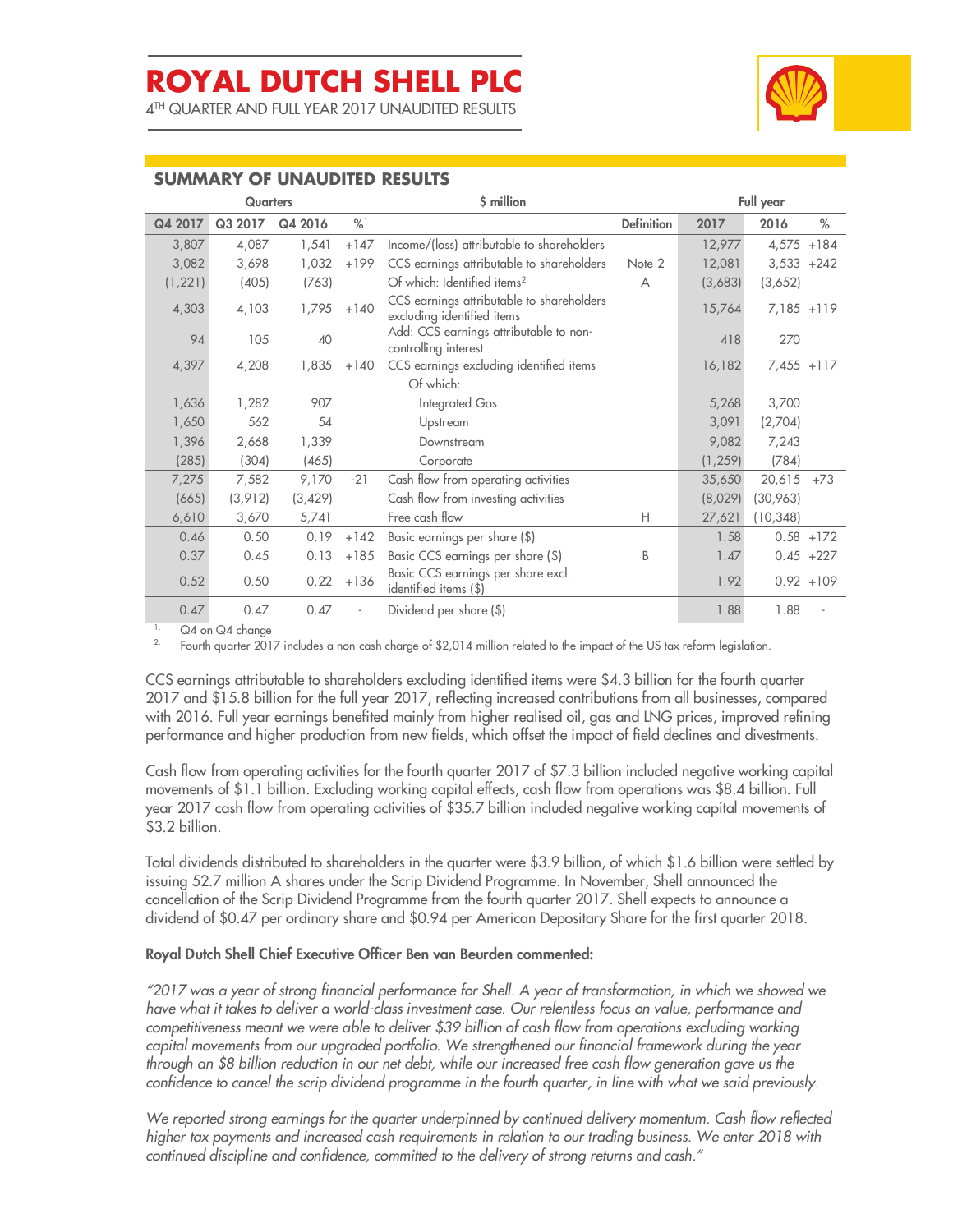4 TH QUARTER AND FULL YEAR 2017 UNAUDITED RESULTS



### **SUMMARY OF UNAUDITED RESULTS**

|          | <b>Quarters</b> |          |               | \$ million<br>Full year                                                 |                   |          |              |              |
|----------|-----------------|----------|---------------|-------------------------------------------------------------------------|-------------------|----------|--------------|--------------|
| Q4 2017  | Q3 2017         | Q4 2016  | $\frac{9}{6}$ |                                                                         | <b>Definition</b> | 2017     | 2016         | %            |
| 3,807    | 4,087           | 1,541    | $+147$        | Income/(loss) attributable to shareholders                              |                   | 12,977   | $4,575$ +184 |              |
| 3,082    | 3,698           | 1,032    | $+199$        | CCS earnings attributable to shareholders                               | Note 2            | 12,081   | $3,533 +242$ |              |
| (1, 221) | (405)           | (763)    |               | Of which: Identified items <sup>2</sup>                                 | A                 | (3,683)  | (3,652)      |              |
| 4,303    | 4,103           | 1,795    | $+140$        | CCS earnings attributable to shareholders<br>excluding identified items |                   | 15,764   | $7,185$ +119 |              |
| 94       | 105             | 40       |               | Add: CCS earnings attributable to non-<br>controlling interest          |                   | 418      | 270          |              |
| 4,397    | 4,208           | 1,835    | $+140$        | CCS earnings excluding identified items                                 |                   | 16,182   | $7,455$ +117 |              |
|          |                 |          |               | Of which:                                                               |                   |          |              |              |
| 1,636    | 1,282           | 907      |               | Integrated Gas                                                          |                   | 5,268    | 3,700        |              |
| 1,650    | 562             | 54       |               | Upstream                                                                |                   | 3,091    | (2,704)      |              |
| 1,396    | 2,668           | 1,339    |               | Downstream                                                              |                   | 9,082    | 7,243        |              |
| (285)    | (304)           | (465)    |               | Corporate                                                               |                   | (1, 259) | (784)        |              |
| 7,275    | 7,582           | 9,170    | $-21$         | Cash flow from operating activities                                     |                   | 35,650   | 20,615       | $+73$        |
| (665)    | (3,912)         | (3, 429) |               | Cash flow from investing activities                                     |                   | (8,029)  | (30,963)     |              |
| 6,610    | 3,670           | 5,741    |               | Free cash flow                                                          | H                 | 27,621   | (10, 348)    |              |
| 0.46     | 0.50            | 0.19     | $+142$        | Basic earnings per share (\$)                                           |                   | 1.58     |              | $0.58 + 172$ |
| 0.37     | 0.45            | 0.13     | $+185$        | Basic CCS earnings per share (\$)                                       | B                 | 1.47     |              | $0.45 +227$  |
| 0.52     | 0.50            | 0.22     | $+136$        | Basic CCS earnings per share excl.<br>identified items (\$)             |                   | 1.92     |              | $0.92 + 109$ |
| 0.47     | 0.47            | 0.47     |               | Dividend per share (\$)                                                 |                   | 1.88     | 1.88         |              |

<sup>1.</sup>  $Q4$  on  $Q4$  change

Fourth quarter 2017 includes a non-cash charge of \$2,014 million related to the impact of the US tax reform legislation.

CCS earnings attributable to shareholders excluding identified items were \$4.3 billion for the fourth quarter 2017 and \$15.8 billion for the full year 2017, reflecting increased contributions from all businesses, compared with 2016. Full year earnings benefited mainly from higher realised oil, gas and LNG prices, improved refining performance and higher production from new fields, which offset the impact of field declines and divestments.

Cash flow from operating activities for the fourth quarter 2017 of \$7.3 billion included negative working capital movements of \$1.1 billion. Excluding working capital effects, cash flow from operations was \$8.4 billion. Full year 2017 cash flow from operating activities of \$35.7 billion included negative working capital movements of \$3.2 billion.

Total dividends distributed to shareholders in the quarter were \$3.9 billion, of which \$1.6 billion were settled by issuing 52.7 million A shares under the Scrip Dividend Programme. In November, Shell announced the cancellation of the Scrip Dividend Programme from the fourth quarter 2017. Shell expects to announce a dividend of \$0.47 per ordinary share and \$0.94 per American Depositary Share for the first quarter 2018.

#### **Royal Dutch Shell Chief Executive Officer Ben van Beurden commented:**

*"2017 was a year of strong financial performance for Shell. A year of transformation, in which we showed we have what it takes to deliver a world-class investment case. Our relentless focus on value, performance and competitiveness meant we were able to deliver \$39 billion of cash flow from operations excluding working capital movements from our upgraded portfolio. We strengthened our financial framework during the year through an \$8 billion reduction in our net debt, while our increased free cash flow generation gave us the confidence to cancel the scrip dividend programme in the fourth quarter, in line with what we said previously.* 

*We reported strong earnings for the quarter underpinned by continued delivery momentum. Cash flow reflected higher tax payments and increased cash requirements in relation to our trading business. We enter 2018 with continued discipline and confidence, committed to the delivery of strong returns and cash."*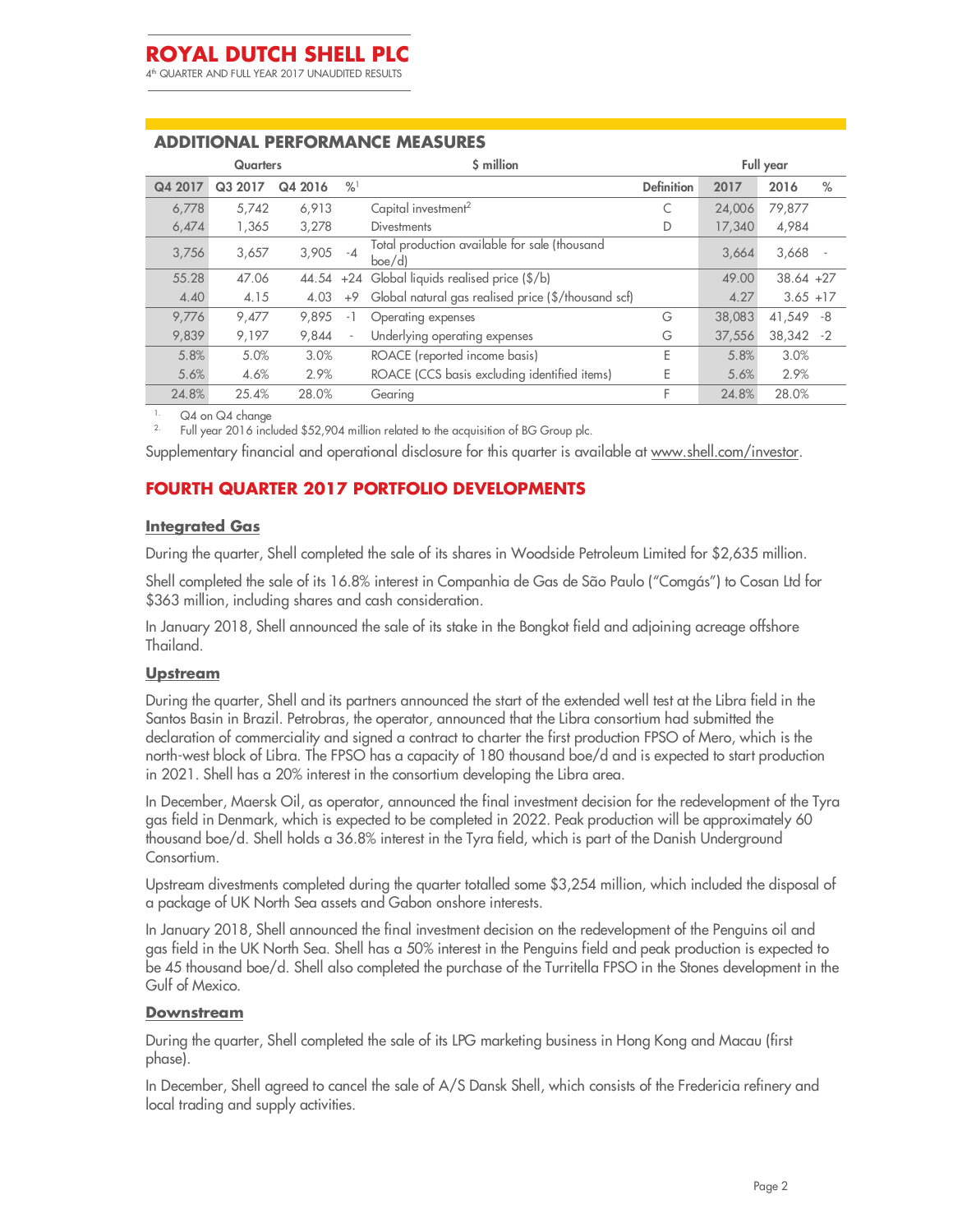4 th QUARTER AND FULL YEAR 2017 UNAUDITED RESULTS

### **ADDITIONAL PERFORMANCE MEASURES**

| <b>Quarters</b> |         |         |                          | \$ million                                              |                   |        | Full year   |      |  |
|-----------------|---------|---------|--------------------------|---------------------------------------------------------|-------------------|--------|-------------|------|--|
| Q4 2017         | Q3 2017 | Q4 2016 | $\frac{9}{6}$            |                                                         | <b>Definition</b> | 2017   | 2016        | $\%$ |  |
| 6,778           | 5,742   | 6,913   |                          | Capital investment <sup>2</sup>                         | C                 | 24,006 | 79,877      |      |  |
| 6,474           | 1,365   | 3,278   |                          | <b>Divestments</b>                                      | D                 | 17,340 | 4,984       |      |  |
| 3.756           | 3,657   | 3,905   | $-4$                     | Total production available for sale (thousand<br>boe/d) |                   | 3,664  | 3,668       |      |  |
| 55.28           | 47.06   | 44.54   |                          | +24 Global liquids realised price (\$/b)                |                   | 49.00  | $38.64 +27$ |      |  |
| 4.40            | 4.15    | 4.03    | $+9$                     | Global natural gas realised price (\$/thousand scf)     |                   | 4.27   | $3.65 + 17$ |      |  |
| 9.776           | 9.477   | 9.895   | -1                       | Operating expenses                                      | G                 | 38,083 | 41,549 -8   |      |  |
| 9.839           | 9,197   | 9,844   | $\overline{\phantom{a}}$ | Underlying operating expenses                           | G                 | 37,556 | 38,342      | -2   |  |
| 5.8%            | 5.0%    | 3.0%    |                          | ROACE (reported income basis)                           | E                 | 5.8%   | 3.0%        |      |  |
| 5.6%            | 4.6%    | 2.9%    |                          | ROACE (CCS basis excluding identified items)            | E                 | 5.6%   | 2.9%        |      |  |
| 24.8%           | 25.4%   | 28.0%   |                          | Gearing                                                 | F                 | 24.8%  | 28.0%       |      |  |

Q4 on Q4 change

2. Full year 2016 included \$52,904 million related to the acquisition of BG Group plc.

Supplementary financial and operational disclosure for this quarter is available at www.shell.com/investor.

### **FOURTH QUARTER 2017 PORTFOLIO DEVELOPMENTS**

#### **Integrated Gas**

During the quarter, Shell completed the sale of its shares in Woodside Petroleum Limited for \$2,635 million.

Shell completed the sale of its 16.8% interest in Companhia de Gas de São Paulo ("Comgás") to Cosan Ltd for \$363 million, including shares and cash consideration.

In January 2018, Shell announced the sale of its stake in the Bongkot field and adjoining acreage offshore Thailand.

#### **Upstream**

During the quarter, Shell and its partners announced the start of the extended well test at the Libra field in the Santos Basin in Brazil. Petrobras, the operator, announced that the Libra consortium had submitted the declaration of commerciality and signed a contract to charter the first production FPSO of Mero, which is the north-west block of Libra. The FPSO has a capacity of 180 thousand boe/d and is expected to start production in 2021. Shell has a 20% interest in the consortium developing the Libra area.

In December, Maersk Oil, as operator, announced the final investment decision for the redevelopment of the Tyra gas field in Denmark, which is expected to be completed in 2022. Peak production will be approximately 60 thousand boe/d. Shell holds a 36.8% interest in the Tyra field, which is part of the Danish Underground Consortium.

Upstream divestments completed during the quarter totalled some \$3,254 million, which included the disposal of a package of UK North Sea assets and Gabon onshore interests.

In January 2018, Shell announced the final investment decision on the redevelopment of the Penguins oil and gas field in the UK North Sea. Shell has a 50% interest in the Penguins field and peak production is expected to be 45 thousand boe/d. Shell also completed the purchase of the Turritella FPSO in the Stones development in the Gulf of Mexico.

#### **Downstream**

During the quarter, Shell completed the sale of its LPG marketing business in Hong Kong and Macau (first phase).

In December, Shell agreed to cancel the sale of A/S Dansk Shell, which consists of the Fredericia refinery and local trading and supply activities.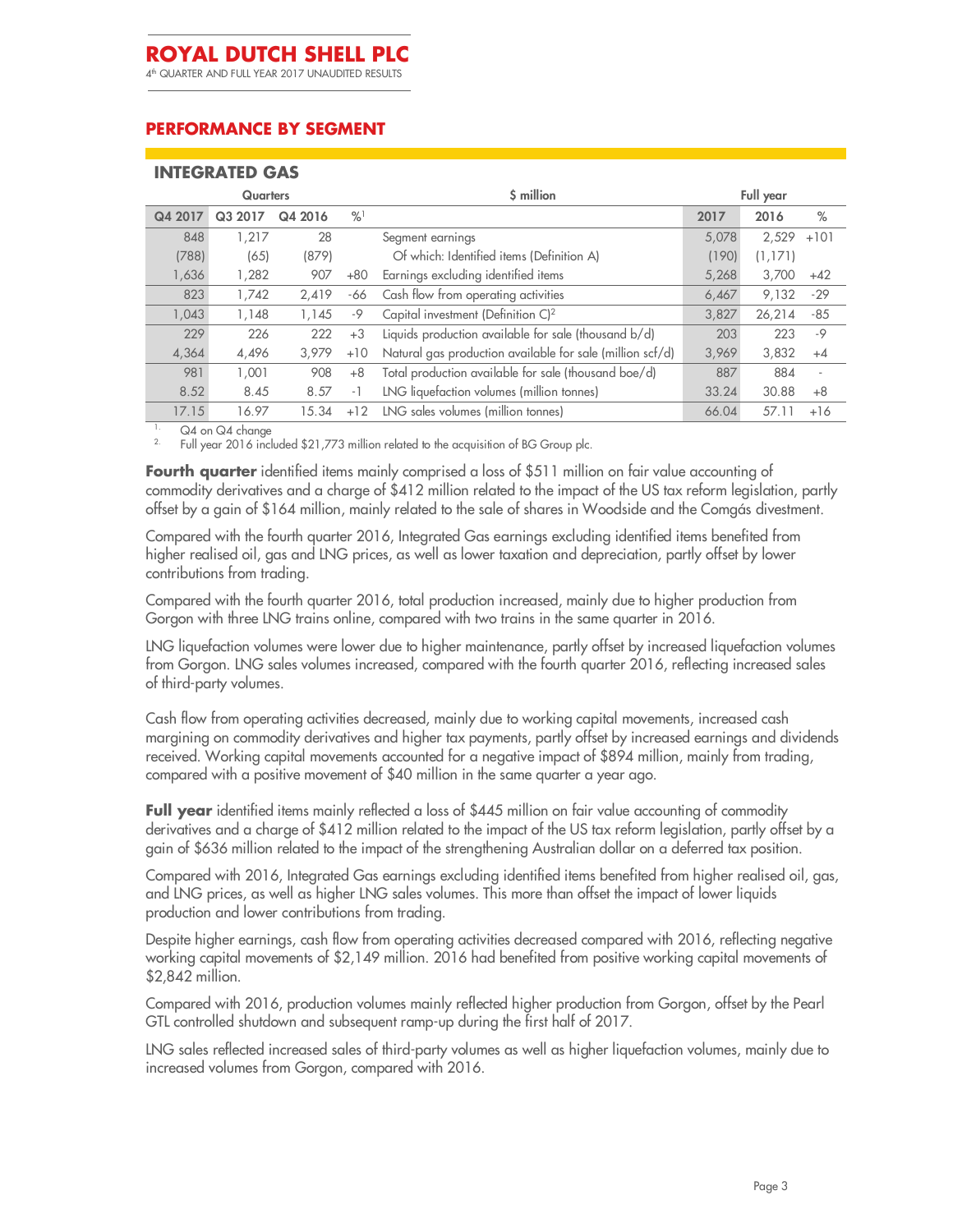4 th QUARTER AND FULL YEAR 2017 UNAUDITED RESULTS

### **PERFORMANCE BY SEGMENT**

| <b>INTEGRATED GAS</b> |         |               |                                                           |       |         |           |  |  |  |
|-----------------------|---------|---------------|-----------------------------------------------------------|-------|---------|-----------|--|--|--|
| <b>Quarters</b>       |         |               | S million                                                 |       |         |           |  |  |  |
| Q3 2017               | Q4 2016 | $\frac{9}{6}$ |                                                           | 2017  | 2016    | $\%$      |  |  |  |
| 1,217                 | 28      |               | Segment earnings                                          | 5,078 | 2,529   | $+101$    |  |  |  |
| (65)                  | (879)   |               | Of which: Identified items (Definition A)                 | (190) | (1,171) |           |  |  |  |
| 1,282                 | 907     | $+80$         | Earnings excluding identified items                       | 5,268 | 3,700   | $+42$     |  |  |  |
| 1,742                 | 2,419   | -66           | Cash flow from operating activities                       | 6,467 | 9,132   | $-29$     |  |  |  |
| 1,148                 | 1.145   | -9            | Capital investment (Definition C) <sup>2</sup>            | 3,827 | 26,214  | $-85$     |  |  |  |
| 226                   | 222     | $+3$          | Liquids production available for sale (thousand b/d)      | 203   | 223     | $-9$      |  |  |  |
| 4,496                 | 3,979   | $+10$         | Natural gas production available for sale (million scf/d) | 3,969 | 3,832   | $+4$      |  |  |  |
| 1,001                 | 908     | $+8$          | Total production available for sale (thousand boe/d)      | 887   | 884     | ä,        |  |  |  |
| 8.45                  | 8.57    | $-1$          | LNG liquefaction volumes (million tonnes)                 | 33.24 | 30.88   | $+8$      |  |  |  |
| 16.97                 | 15.34   | $+12$         | LNG sales volumes (million tonnes)                        | 66.04 | 57.11   | $+16$     |  |  |  |
|                       |         |               |                                                           |       |         | Full year |  |  |  |

<sup>1.</sup> Q4 on Q4 change

2. Full year 2016 included \$21,773 million related to the acquisition of BG Group plc.

**Fourth quarter** identified items mainly comprised a loss of \$511 million on fair value accounting of commodity derivatives and a charge of \$412 million related to the impact of the US tax reform legislation, partly offset by a gain of \$164 million, mainly related to the sale of shares in Woodside and the Comgás divestment.

Compared with the fourth quarter 2016, Integrated Gas earnings excluding identified items benefited from higher realised oil, gas and LNG prices, as well as lower taxation and depreciation, partly offset by lower contributions from trading.

Compared with the fourth quarter 2016, total production increased, mainly due to higher production from Gorgon with three LNG trains online, compared with two trains in the same quarter in 2016.

LNG liquefaction volumes were lower due to higher maintenance, partly offset by increased liquefaction volumes from Gorgon. LNG sales volumes increased, compared with the fourth quarter 2016, reflecting increased sales of third-party volumes.

Cash flow from operating activities decreased, mainly due to working capital movements, increased cash margining on commodity derivatives and higher tax payments, partly offset by increased earnings and dividends received. Working capital movements accounted for a negative impact of \$894 million, mainly from trading, compared with a positive movement of \$40 million in the same quarter a year ago.

Full year identified items mainly reflected a loss of \$445 million on fair value accounting of commodity derivatives and a charge of \$412 million related to the impact of the US tax reform legislation, partly offset by a gain of \$636 million related to the impact of the strengthening Australian dollar on a deferred tax position.

Compared with 2016, Integrated Gas earnings excluding identified items benefited from higher realised oil, gas, and LNG prices, as well as higher LNG sales volumes. This more than offset the impact of lower liquids production and lower contributions from trading.

Despite higher earnings, cash flow from operating activities decreased compared with 2016, reflecting negative working capital movements of \$2,149 million. 2016 had benefited from positive working capital movements of \$2,842 million.

Compared with 2016, production volumes mainly reflected higher production from Gorgon, offset by the Pearl GTL controlled shutdown and subsequent ramp-up during the first half of 2017.

LNG sales reflected increased sales of third-party volumes as well as higher liquefaction volumes, mainly due to increased volumes from Gorgon, compared with 2016.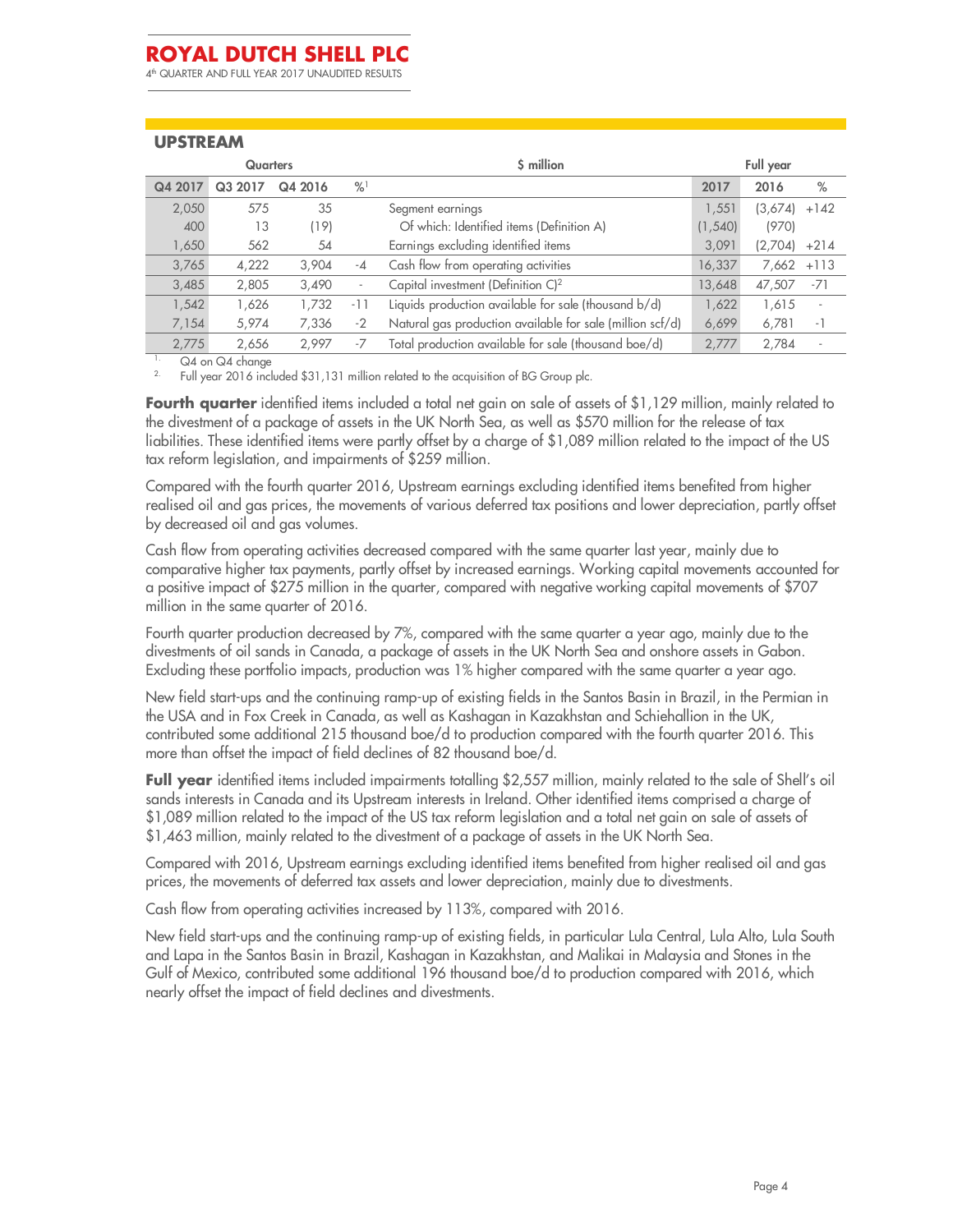4 th QUARTER AND FULL YEAR 2017 UNAUDITED RESULTS

### **UPSTREAM**

| <b>Quarters</b> |                                        |       |                          | \$ million                                                |          | Full year |                          |  |  |
|-----------------|----------------------------------------|-------|--------------------------|-----------------------------------------------------------|----------|-----------|--------------------------|--|--|
| Q4 2017         | $\frac{9}{6}$<br>Q4 2016<br>2017<br>Q3 |       |                          |                                                           | 2017     | 2016      | $\%$                     |  |  |
| 2,050           | 575                                    | 35    |                          | Segment earnings                                          | 1.551    | (3,674)   | $+142$                   |  |  |
| 400             | 13                                     | (19)  |                          | Of which: Identified items (Definition A)                 | (1, 540) | (970)     |                          |  |  |
| 1,650           | 562                                    | 54    |                          | Earnings excluding identified items                       | 3,091    | (2,704)   | $+214$                   |  |  |
| 3,765           | 4,222                                  | 3,904 | $-4$                     | Cash flow from operating activities                       | 16,337   | 7,662     | $+113$                   |  |  |
| 3,485           | 2,805                                  | 3,490 | $\overline{\phantom{a}}$ | Capital investment (Definition $C$ ) <sup>2</sup>         | 13,648   | 47,507    | $-71$                    |  |  |
| 1,542           | 1,626                                  | 1,732 | -11                      | Liquids production available for sale (thousand b/d)      | 1,622    | 1,615     | $\overline{\phantom{a}}$ |  |  |
| 7,154           | 5,974                                  | 7,336 | $-2$                     | Natural gas production available for sale (million scf/d) | 6,699    | 6,781     | $-1$                     |  |  |
| 2,775           | 2.656                                  | 2.997 | -7                       | Total production available for sale (thousand boe/d)      | 2.777    | 2.784     | $\overline{\phantom{a}}$ |  |  |

<sup>1.</sup>  $\sqrt{24}$  on  $\sqrt{24}$  change

2. Full year 2016 included \$31,131 million related to the acquisition of BG Group plc.

**Fourth quarter** identified items included a total net gain on sale of assets of \$1,129 million, mainly related to the divestment of a package of assets in the UK North Sea, as well as \$570 million for the release of tax liabilities. These identified items were partly offset by a charge of \$1,089 million related to the impact of the US tax reform legislation, and impairments of \$259 million.

Compared with the fourth quarter 2016, Upstream earnings excluding identified items benefited from higher realised oil and gas prices, the movements of various deferred tax positions and lower depreciation, partly offset by decreased oil and gas volumes.

Cash flow from operating activities decreased compared with the same quarter last year, mainly due to comparative higher tax payments, partly offset by increased earnings. Working capital movements accounted for a positive impact of \$275 million in the quarter, compared with negative working capital movements of \$707 million in the same quarter of 2016.

Fourth quarter production decreased by 7%, compared with the same quarter a year ago, mainly due to the divestments of oil sands in Canada, a package of assets in the UK North Sea and onshore assets in Gabon. Excluding these portfolio impacts, production was 1% higher compared with the same quarter a year ago.

New field start-ups and the continuing ramp-up of existing fields in the Santos Basin in Brazil, in the Permian in the USA and in Fox Creek in Canada, as well as Kashagan in Kazakhstan and Schiehallion in the UK, contributed some additional 215 thousand boe/d to production compared with the fourth quarter 2016. This more than offset the impact of field declines of 82 thousand boe/d.

**Full year** identified items included impairments totalling \$2,557 million, mainly related to the sale of Shell's oil sands interests in Canada and its Upstream interests in Ireland. Other identified items comprised a charge of \$1,089 million related to the impact of the US tax reform legislation and a total net gain on sale of assets of \$1,463 million, mainly related to the divestment of a package of assets in the UK North Sea.

Compared with 2016, Upstream earnings excluding identified items benefited from higher realised oil and gas prices, the movements of deferred tax assets and lower depreciation, mainly due to divestments.

Cash flow from operating activities increased by 113%, compared with 2016.

New field start-ups and the continuing ramp-up of existing fields, in particular Lula Central, Lula Alto, Lula South and Lapa in the Santos Basin in Brazil, Kashagan in Kazakhstan, and Malikai in Malaysia and Stones in the Gulf of Mexico, contributed some additional 196 thousand boe/d to production compared with 2016, which nearly offset the impact of field declines and divestments.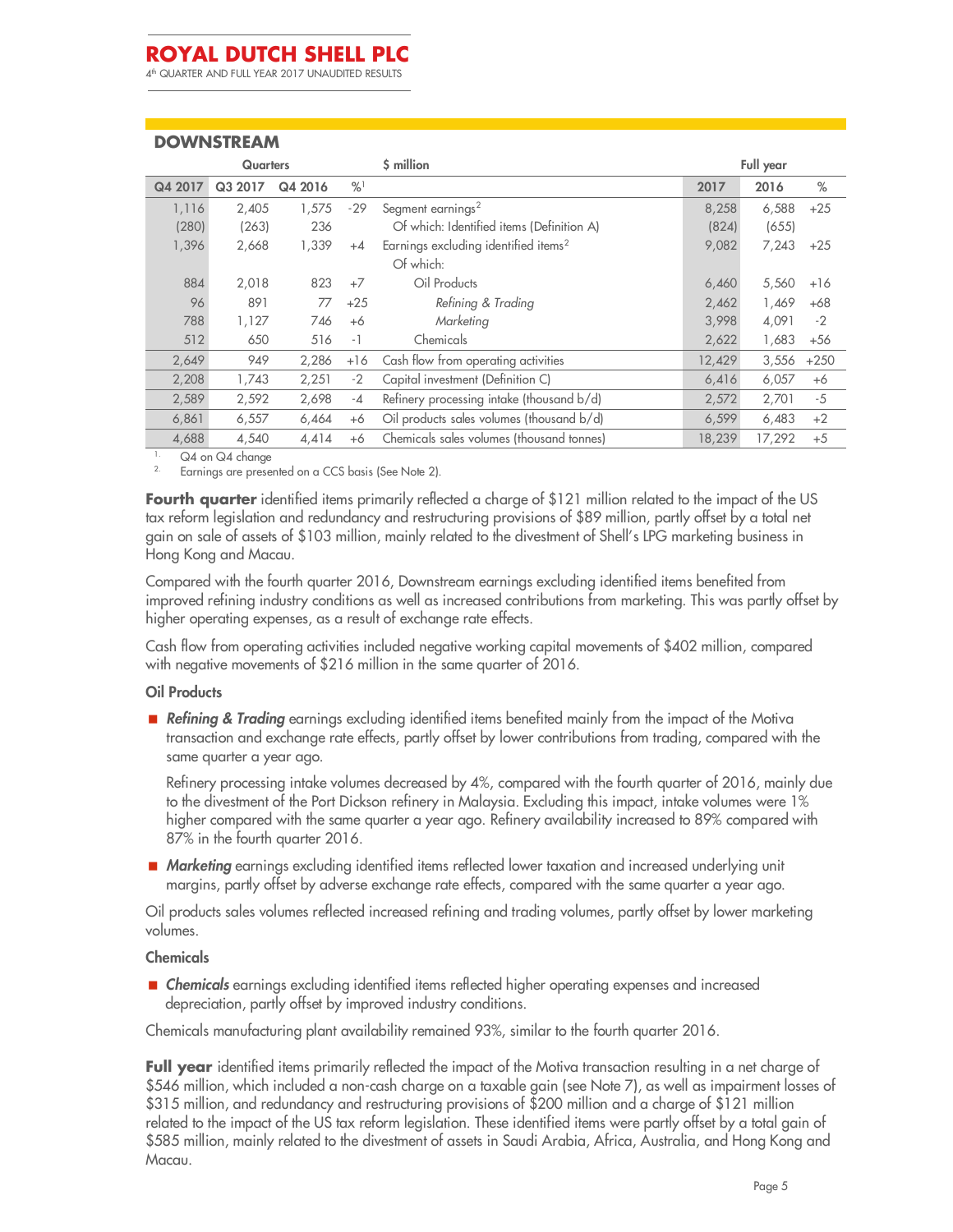4 th QUARTER AND FULL YEAR 2017 UNAUDITED RESULTS

### **DOWNSTREAM**

| <b>Quarters</b> |         |         |               | \$ million                                       |        | Full year |        |
|-----------------|---------|---------|---------------|--------------------------------------------------|--------|-----------|--------|
| Q4 2017         | Q3 2017 | Q4 2016 | $\frac{9}{6}$ |                                                  | 2017   | 2016      | $\%$   |
| 1,116           | 2,405   | 1,575   | $-29$         | Segment earnings <sup>2</sup>                    | 8,258  | 6,588     | $+25$  |
| (280)           | (263)   | 236     |               | Of which: Identified items (Definition A)        | (824)  | (655)     |        |
| 1,396           | 2,668   | 1,339   | $+4$          | Earnings excluding identified items <sup>2</sup> | 9,082  | 7,243     | $+25$  |
|                 |         |         |               | Of which:                                        |        |           |        |
| 884             | 2,018   | 823     | $+7$          | Oil Products                                     | 6,460  | 5,560     | $+16$  |
| 96              | 891     | 77      | $+25$         | Refining & Trading                               | 2,462  | 1,469     | $+68$  |
| 788             | 1,127   | 746     | $+6$          | Marketing                                        | 3.998  | 4,091     | $-2$   |
| 512             | 650     | 516     | - 1           | Chemicals                                        | 2,622  | 1,683     | $+56$  |
| 2,649           | 949     | 2,286   | $+16$         | Cash flow from operating activities              | 12,429 | 3,556     | $+250$ |
| 2,208           | 1,743   | 2,251   | $-2$          | Capital investment (Definition C)                | 6,416  | 6,057     | $+6$   |
| 2.589           | 2,592   | 2,698   | $-4$          | Refinery processing intake (thousand b/d)        | 2,572  | 2,701     | -5     |
| 6,861           | 6,557   | 6,464   | $+6$          | Oil products sales volumes (thousand b/d)        | 6,599  | 6,483     | $+2$   |
| 4,688           | 4,540   | 4,414   | $+6$          | Chemicals sales volumes (thousand tonnes)        | 18,239 | 17,292    | $+5$   |

Q4 on Q4 change

Earnings are presented on a CCS basis (See Note 2).

**Fourth quarter** identified items primarily reflected a charge of \$121 million related to the impact of the US tax reform legislation and redundancy and restructuring provisions of \$89 million, partly offset by a total net gain on sale of assets of \$103 million, mainly related to the divestment of Shell's LPG marketing business in Hong Kong and Macau.

Compared with the fourth quarter 2016, Downstream earnings excluding identified items benefited from improved refining industry conditions as well as increased contributions from marketing. This was partly offset by higher operating expenses, as a result of exchange rate effects.

Cash flow from operating activities included negative working capital movements of \$402 million, compared with negative movements of \$216 million in the same quarter of 2016.

#### **Oil Products**

 *Refining & Trading* earnings excluding identified items benefited mainly from the impact of the Motiva transaction and exchange rate effects, partly offset by lower contributions from trading, compared with the same quarter a year ago.

Refinery processing intake volumes decreased by 4%, compared with the fourth quarter of 2016, mainly due to the divestment of the Port Dickson refinery in Malaysia. Excluding this impact, intake volumes were 1% higher compared with the same quarter a year ago. Refinery availability increased to 89% compared with 87% in the fourth quarter 2016.

■ *Marketing* earnings excluding identified items reflected lower taxation and increased underlying unit margins, partly offset by adverse exchange rate effects, compared with the same quarter a year ago.

Oil products sales volumes reflected increased refining and trading volumes, partly offset by lower marketing volumes.

#### **Chemicals**

**Exercise Exercise** earnings excluding identified items reflected higher operating expenses and increased depreciation, partly offset by improved industry conditions.

Chemicals manufacturing plant availability remained 93%, similar to the fourth quarter 2016.

**Full year** identified items primarily reflected the impact of the Motiva transaction resulting in a net charge of \$546 million, which included a non-cash charge on a taxable gain (see Note 7), as well as impairment losses of \$315 million, and redundancy and restructuring provisions of \$200 million and a charge of \$121 million related to the impact of the US tax reform legislation. These identified items were partly offset by a total gain of \$585 million, mainly related to the divestment of assets in Saudi Arabia, Africa, Australia, and Hong Kong and Macau.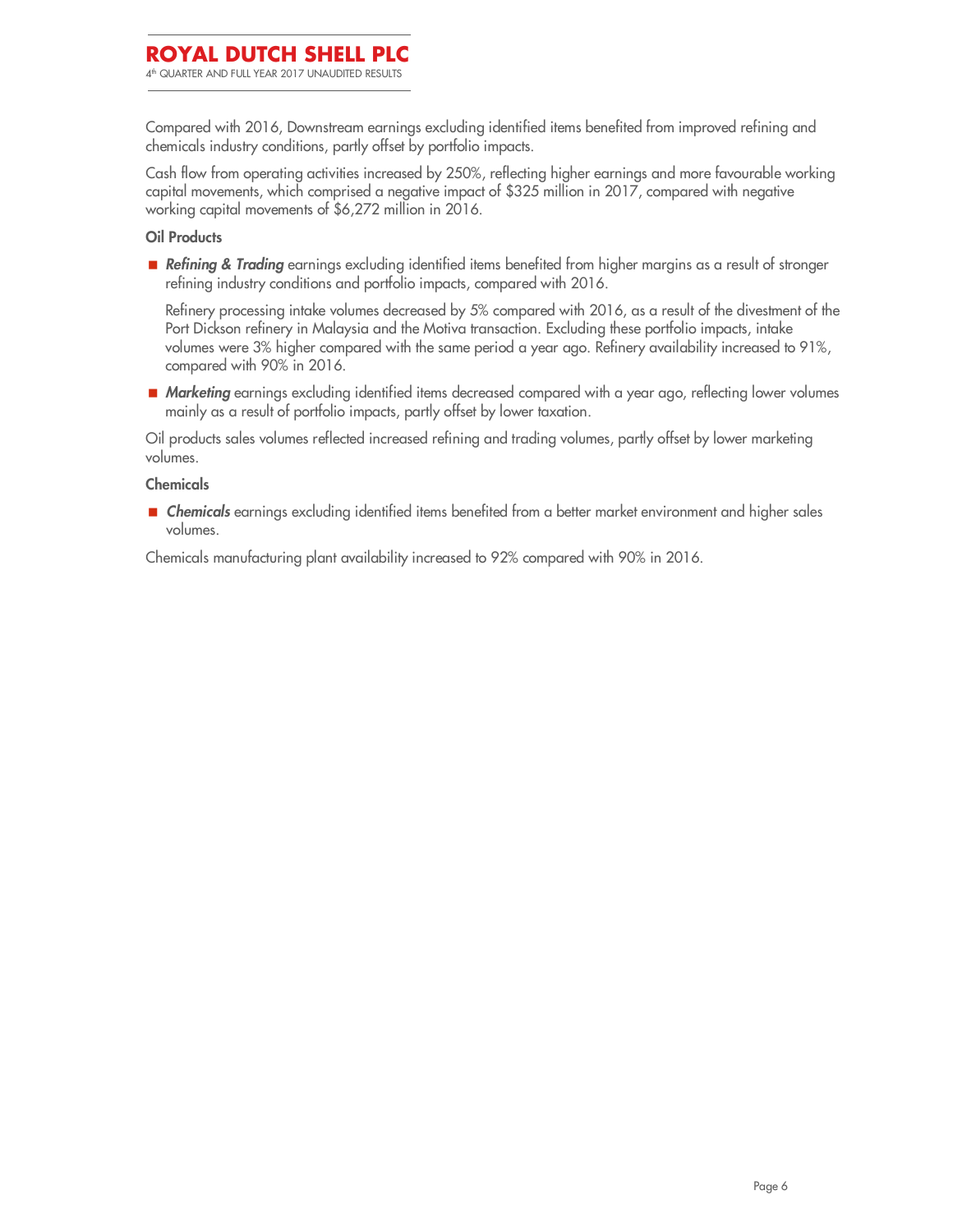Compared with 2016, Downstream earnings excluding identified items benefited from improved refining and chemicals industry conditions, partly offset by portfolio impacts.

Cash flow from operating activities increased by 250%, reflecting higher earnings and more favourable working capital movements, which comprised a negative impact of \$325 million in 2017, compared with negative working capital movements of \$6,272 million in 2016.

#### **Oil Products**

 *Refining & Trading* earnings excluding identified items benefited from higher margins as a result of stronger refining industry conditions and portfolio impacts, compared with 2016.

Refinery processing intake volumes decreased by 5% compared with 2016, as a result of the divestment of the Port Dickson refinery in Malaysia and the Motiva transaction. Excluding these portfolio impacts, intake volumes were 3% higher compared with the same period a year ago. Refinery availability increased to 91%, compared with 90% in 2016.

■ *Marketing* earnings excluding identified items decreased compared with a year ago, reflecting lower volumes mainly as a result of portfolio impacts, partly offset by lower taxation.

Oil products sales volumes reflected increased refining and trading volumes, partly offset by lower marketing volumes.

#### **Chemicals**

 *Chemicals* earnings excluding identified items benefited from a better market environment and higher sales volumes.

Chemicals manufacturing plant availability increased to 92% compared with 90% in 2016.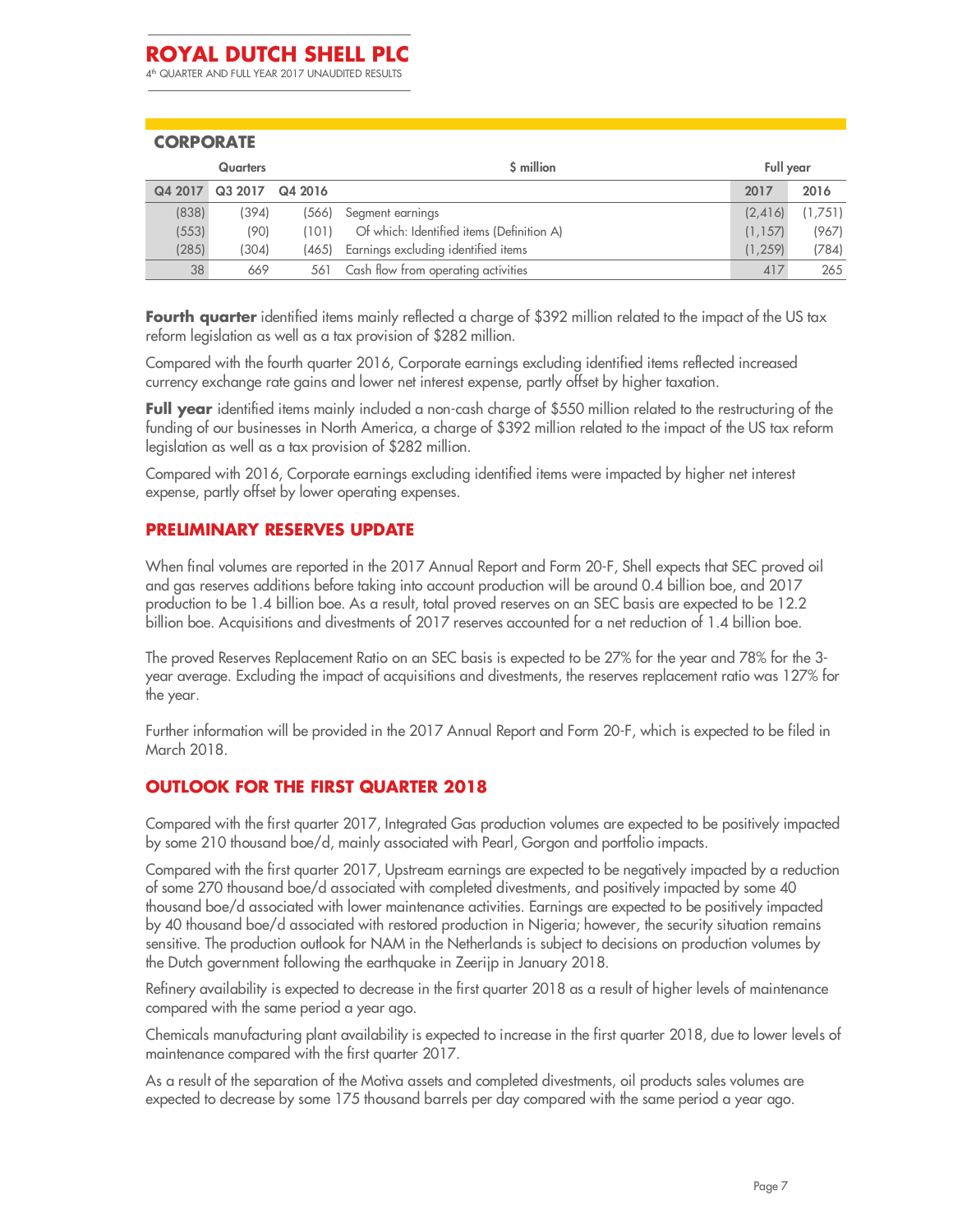4 th QUARTER AND FULL YEAR 2017 UNAUDITED RESULTS

### **CORPORATE**

| <b>Quarters</b> |         |         | \$ million                                |          | Full year |  |
|-----------------|---------|---------|-------------------------------------------|----------|-----------|--|
| Q4 2017         | Q3 2017 | Q4 2016 |                                           | 2017     | 2016      |  |
| (838)           | (394)   |         | (566) Segment earnings                    | (2, 416) | (1,751)   |  |
| (553)           | (90)    | (101)   | Of which: Identified items (Definition A) | (1.157)  | (967)     |  |
| (285)           | 304)    | (465)   | Earnings excluding identified items       | (1.259)  | (784)     |  |
| 38              | 669     | 561     | Cash flow from operating activities       | 417      | 265       |  |

**Fourth quarter** identified items mainly reflected a charge of \$392 million related to the impact of the US tax reform legislation as well as a tax provision of \$282 million.

Compared with the fourth quarter 2016, Corporate earnings excluding identified items reflected increased currency exchange rate gains and lower net interest expense, partly offset by higher taxation.

**Full year** identified items mainly included a non-cash charge of \$550 million related to the restructuring of the funding of our businesses in North America, a charge of \$392 million related to the impact of the US tax reform legislation as well as a tax provision of \$282 million.

Compared with 2016, Corporate earnings excluding identified items were impacted by higher net interest expense, partly offset by lower operating expenses.

### **PRELIMINARY RESERVES UPDATE**

When final volumes are reported in the 2017 Annual Report and Form 20-F, Shell expects that SEC proved oil and gas reserves additions before taking into account production will be around 0.4 billion boe, and 2017 production to be 1.4 billion boe. As a result, total proved reserves on an SEC basis are expected to be 12.2 billion boe. Acquisitions and divestments of 2017 reserves accounted for a net reduction of 1.4 billion boe.

The proved Reserves Replacement Ratio on an SEC basis is expected to be 27% for the year and 78% for the 3 year average. Excluding the impact of acquisitions and divestments, the reserves replacement ratio was 127% for the year.

Further information will be provided in the 2017 Annual Report and Form 20-F, which is expected to be filed in March 2018.

### **OUTLOOK FOR THE FIRST QUARTER 2018**

Compared with the first quarter 2017, Integrated Gas production volumes are expected to be positively impacted by some 210 thousand boe/d, mainly associated with Pearl, Gorgon and portfolio impacts.

Compared with the first quarter 2017, Upstream earnings are expected to be negatively impacted by a reduction of some 270 thousand boe/d associated with completed divestments, and positively impacted by some 40 thousand boe/d associated with lower maintenance activities. Earnings are expected to be positively impacted by 40 thousand boe/d associated with restored production in Nigeria; however, the security situation remains sensitive. The production outlook for NAM in the Netherlands is subject to decisions on production volumes by the Dutch government following the earthquake in Zeerijp in January 2018.

Refinery availability is expected to decrease in the first quarter 2018 as a result of higher levels of maintenance compared with the same period a year ago.

Chemicals manufacturing plant availability is expected to increase in the first quarter 2018, due to lower levels of maintenance compared with the first quarter 2017.

As a result of the separation of the Motiva assets and completed divestments, oil products sales volumes are expected to decrease by some 175 thousand barrels per day compared with the same period a year ago.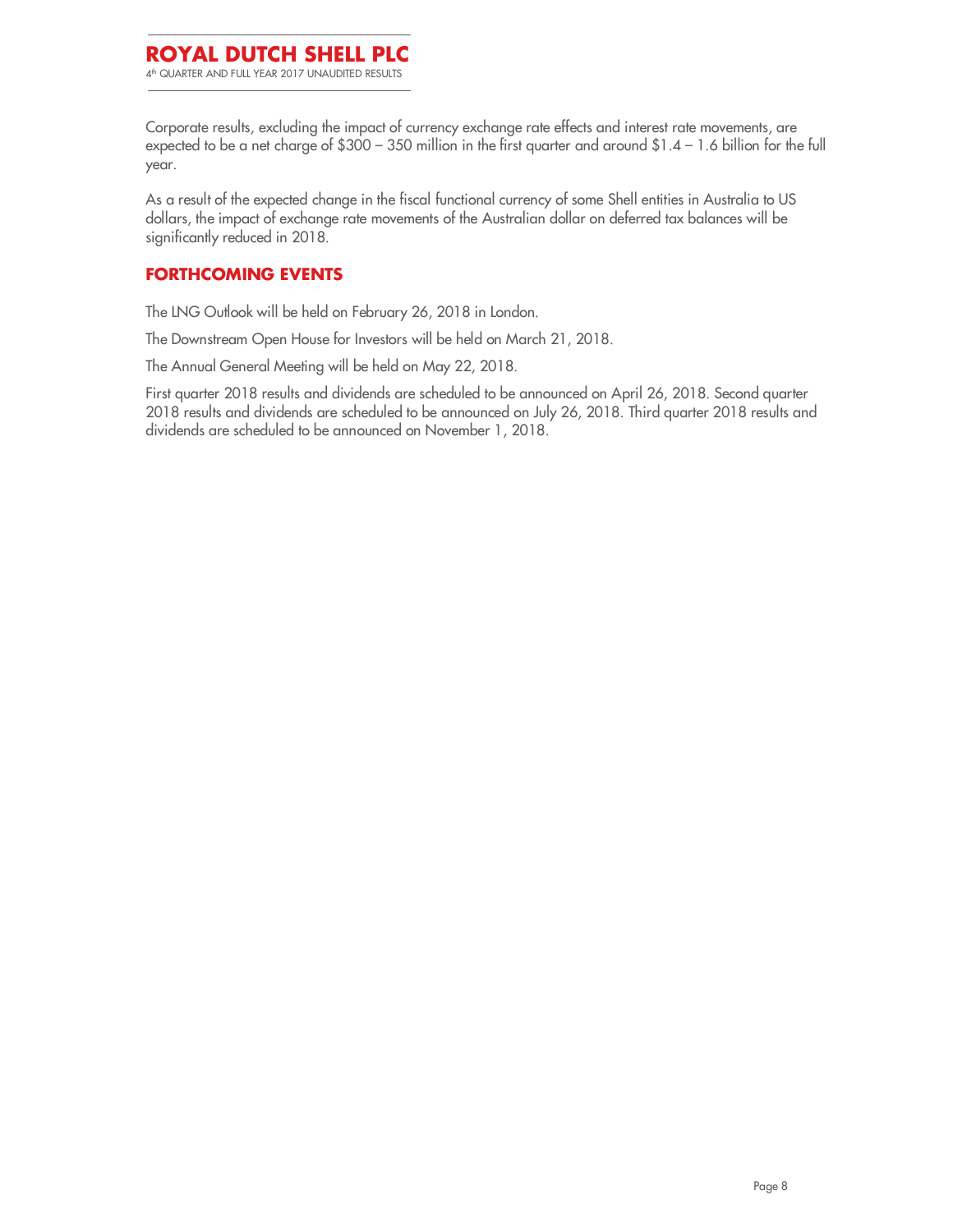### **ROYAL DUTCH SHELL PLC** 4 th QUARTER AND FULL YEAR 2017 UNAUDITED RESULTS

Corporate results, excluding the impact of currency exchange rate effects and interest rate movements, are expected to be a net charge of \$300 – 350 million in the first quarter and around \$1.4 – 1.6 billion for the full year.

As a result of the expected change in the fiscal functional currency of some Shell entities in Australia to US dollars, the impact of exchange rate movements of the Australian dollar on deferred tax balances will be significantly reduced in 2018.

### **FORTHCOMING EVENTS**

The LNG Outlook will be held on February 26, 2018 in London.

The Downstream Open House for Investors will be held on March 21, 2018.

The Annual General Meeting will be held on May 22, 2018.

First quarter 2018 results and dividends are scheduled to be announced on April 26, 2018. Second quarter 2018 results and dividends are scheduled to be announced on July 26, 2018. Third quarter 2018 results and dividends are scheduled to be announced on November 1, 2018.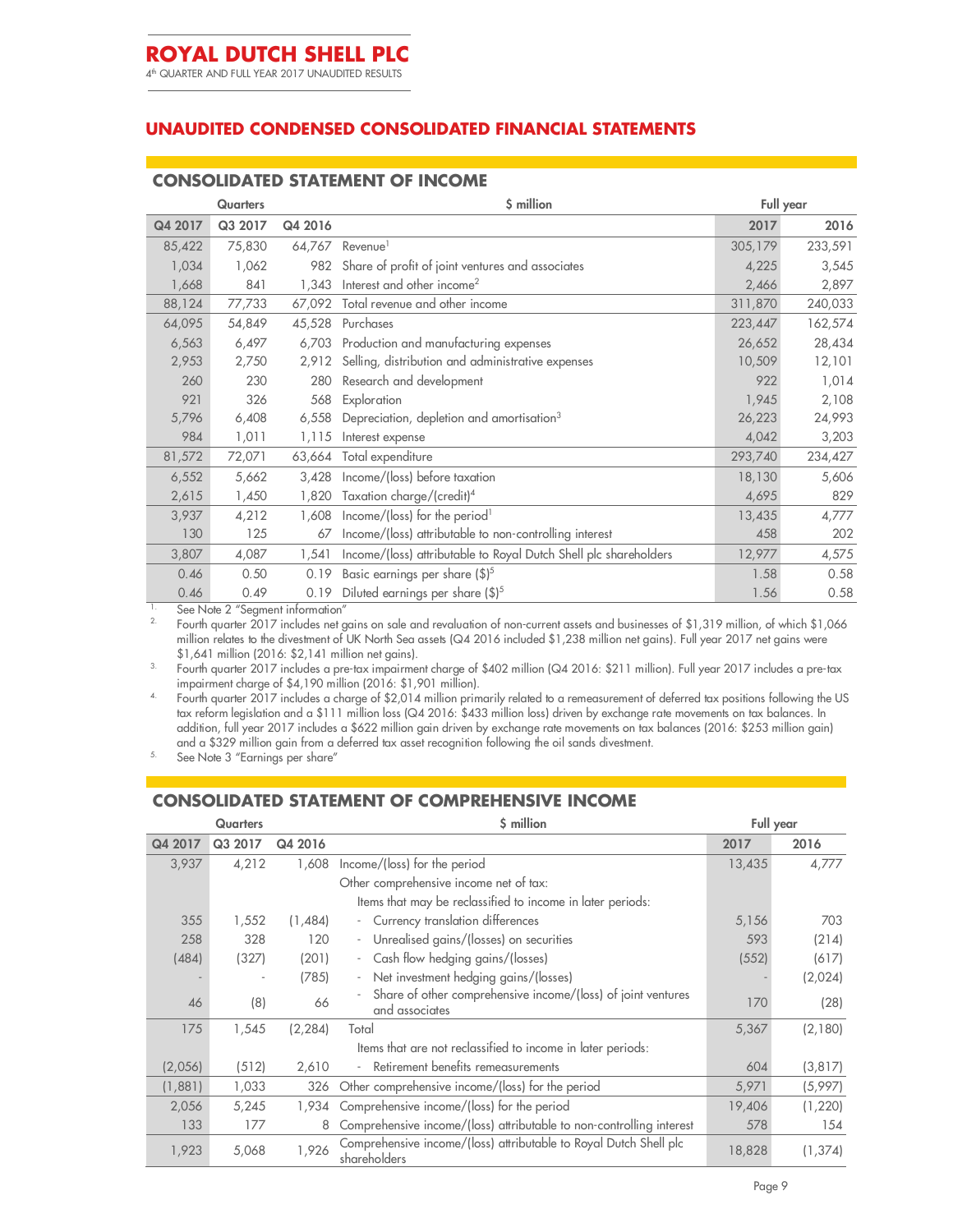### **UNAUDITED CONDENSED CONSOLIDATED FINANCIAL STATEMENTS**

### **CONSOLIDATED STATEMENT OF INCOME**

| <b>Quarters</b> |         |         | \$ million                                                       | Full year |         |  |
|-----------------|---------|---------|------------------------------------------------------------------|-----------|---------|--|
| Q4 2017         | Q3 2017 | Q4 2016 |                                                                  | 2017      | 2016    |  |
| 85,422          | 75,830  | 64,767  | Revenue <sup>1</sup>                                             | 305,179   | 233,591 |  |
| 1,034           | 1,062   | 982     | Share of profit of joint ventures and associates                 | 4,225     | 3,545   |  |
| 1,668           | 841     | 1,343   | Interest and other income <sup>2</sup>                           | 2,466     | 2,897   |  |
| 88,124          | 77,733  | 67,092  | Total revenue and other income                                   | 311,870   | 240,033 |  |
| 64,095          | 54,849  | 45,528  | Purchases                                                        | 223,447   | 162,574 |  |
| 6,563           | 6,497   | 6,703   | Production and manufacturing expenses                            | 26,652    | 28,434  |  |
| 2,953           | 2,750   | 2,912   | Selling, distribution and administrative expenses                | 10,509    | 12,101  |  |
| 260             | 230     | 280     | Research and development                                         | 922       | 1,014   |  |
| 921             | 326     | 568     | Exploration                                                      | 1,945     | 2,108   |  |
| 5,796           | 6,408   | 6,558   | Depreciation, depletion and amortisation <sup>3</sup>            | 26,223    | 24,993  |  |
| 984             | 1,011   | 1,115   | Interest expense                                                 | 4,042     | 3,203   |  |
| 81,572          | 72,071  | 63,664  | Total expenditure                                                | 293,740   | 234,427 |  |
| 6,552           | 5,662   | 3,428   | Income/(loss) before taxation                                    | 18,130    | 5,606   |  |
| 2,615           | 1,450   | 1,820   | Taxation charge/(credit) <sup>4</sup>                            | 4,695     | 829     |  |
| 3,937           | 4,212   | 1,608   | Income/(loss) for the period <sup>1</sup>                        | 13,435    | 4,777   |  |
| 130             | 125     | 67      | Income/(loss) attributable to non-controlling interest           | 458       | 202     |  |
| 3,807           | 4,087   | 1,541   | Income/(loss) attributable to Royal Dutch Shell plc shareholders | 12,977    | 4,575   |  |
| 0.46            | 0.50    | 0.19    | Basic earnings per share (\$) <sup>5</sup>                       | 1.58      | 0.58    |  |
| 0.46            | 0.49    | 0.19    | Diluted earnings per share (\$) <sup>5</sup>                     | 1.56      | 0.58    |  |

<sup>1.</sup> See Note 2 "Segment information"

2. Fourth quarter 2017 includes net gains on sale and revaluation of non-current assets and businesses of \$1,319 million, of which \$1,066 million relates to the divestment of UK North Sea assets (Q4 2016 included \$1,238 million net gains). Full year 2017 net gains were \$1,641 million (2016: \$2,141 million net gains).

3. Fourth quarter 2017 includes a pre-tax impairment charge of \$402 million (Q4 2016: \$211 million). Full year 2017 includes a pre-tax impairment charge of \$4,190 million (2016: \$1,901 million).

 $^{4.}$  Fourth quarter 2017 includes a charge of \$2,014 million primarily related to a remeasurement of deferred tax positions following the US tax reform legislation and a \$111 million loss (Q4 2016: \$433 million loss) driven by exchange rate movements on tax balances. In addition, full year 2017 includes a \$622 million gain driven by exchange rate movements on tax balances (2016: \$253 million gain) and a \$329 million gain from a deferred tax asset recognition following the oil sands divestment.

See Note 3 "Earnings per share"

### **CONSOLIDATED STATEMENT OF COMPREHENSIVE INCOME**

| <b>Quarters</b> |                          |          | \$ million                                                                        | Full year |          |
|-----------------|--------------------------|----------|-----------------------------------------------------------------------------------|-----------|----------|
| Q4 2017         | Q3 2017                  | Q4 2016  |                                                                                   | 2017      | 2016     |
| 3,937           | 4,212                    | 1,608    | Income/(loss) for the period                                                      | 13,435    | 4,777    |
|                 |                          |          | Other comprehensive income net of tax:                                            |           |          |
|                 |                          |          | Items that may be reclassified to income in later periods:                        |           |          |
| 355             | 1,552                    | (1,484)  | - Currency translation differences                                                | 5,156     | 703      |
| 258             | 328                      | 120      | - Unrealised gains/(losses) on securities                                         | 593       | (214)    |
| (484)           | (327)                    | (201)    | - Cash flow hedging gains/(losses)                                                | (552)     | (617)    |
|                 | $\overline{\phantom{a}}$ | (785)    | - Net investment hedging gains/(losses)                                           |           | (2,024)  |
| 46              | (8)                      | 66       | Share of other comprehensive income/(loss) of joint ventures<br>and associates    | 170       | (28)     |
| 175             | 1,545                    | (2, 284) | Total                                                                             | 5,367     | (2,180)  |
|                 |                          |          | Items that are not reclassified to income in later periods:                       |           |          |
| (2,056)         | (512)                    | 2,610    | - Retirement benefits remeasurements                                              | 604       | (3, 817) |
| (1,881)         | 1,033                    | 326      | Other comprehensive income/(loss) for the period                                  | 5,971     | (5,997)  |
| 2,056           | 5,245                    | 1,934    | Comprehensive income/(loss) for the period                                        | 19,406    | (1,220)  |
| 133             | 177                      | 8        | Comprehensive income/(loss) attributable to non-controlling interest              | 578       | 154      |
| 1,923           | 5,068                    | 1,926    | Comprehensive income/(loss) attributable to Royal Dutch Shell plc<br>shareholders | 18,828    | (1, 374) |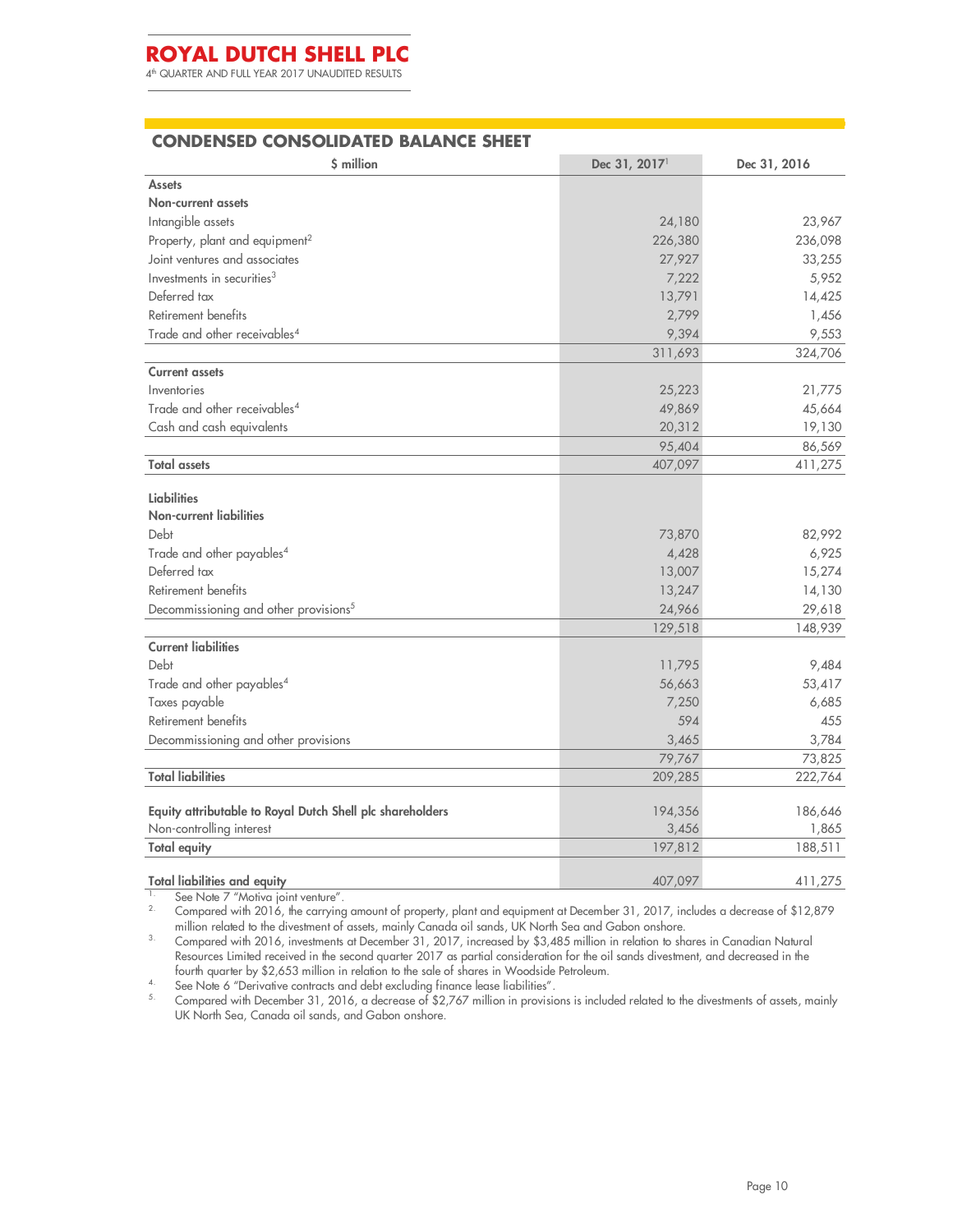4 th QUARTER AND FULL YEAR 2017 UNAUDITED RESULTS

### **CONDENSED CONSOLIDATED BALANCE SHEET**

| \$ million                                                | Dec 31, 2017 <sup>1</sup> | Dec 31, 2016 |
|-----------------------------------------------------------|---------------------------|--------------|
| <b>Assets</b>                                             |                           |              |
| <b>Non-current assets</b>                                 |                           |              |
| Intangible assets                                         | 24,180                    | 23,967       |
| Property, plant and equipment <sup>2</sup>                | 226,380                   | 236,098      |
| Joint ventures and associates                             | 27,927                    | 33,255       |
| Investments in securities <sup>3</sup>                    | 7,222                     | 5,952        |
| Deferred tax                                              | 13,791                    | 14,425       |
| Retirement benefits                                       | 2,799                     | 1,456        |
| Trade and other receivables <sup>4</sup>                  | 9,394                     | 9,553        |
|                                                           | 311,693                   | 324,706      |
| <b>Current assets</b>                                     |                           |              |
| Inventories                                               | 25,223                    | 21,775       |
| Trade and other receivables <sup>4</sup>                  | 49,869                    | 45,664       |
| Cash and cash equivalents                                 | 20,312                    | 19,130       |
|                                                           | 95,404                    | 86,569       |
| <b>Total assets</b>                                       | 407,097                   | 411,275      |
| <b>Liabilities</b>                                        |                           |              |
| <b>Non-current liabilities</b>                            |                           |              |
| Debt                                                      | 73,870                    | 82,992       |
| Trade and other payables <sup>4</sup>                     | 4,428                     | 6,925        |
| Deferred tax                                              | 13,007                    | 15,274       |
| Retirement benefits                                       | 13,247                    | 14,130       |
| Decommissioning and other provisions <sup>5</sup>         | 24,966                    | 29,618       |
|                                                           | 129,518                   | 148,939      |
| <b>Current liabilities</b>                                |                           |              |
| Debt                                                      | 11,795                    | 9,484        |
| Trade and other payables <sup>4</sup>                     | 56,663                    | 53,417       |
| Taxes payable                                             | 7,250                     | 6,685        |
| Retirement benefits                                       | 594                       | 455          |
| Decommissioning and other provisions                      | 3,465                     | 3,784        |
|                                                           | 79,767                    | 73,825       |
| <b>Total liabilities</b>                                  | 209,285                   | 222,764      |
| Equity attributable to Royal Dutch Shell plc shareholders | 194,356                   | 186,646      |
| Non-controlling interest                                  | 3,456                     | 1,865        |
| <b>Total equity</b>                                       | 197,812                   | 188,511      |
| <b>Total liabilities and equity</b>                       | 407,097                   | 411,275      |

<sup>1</sup> See Note 7 "Motiva joint venture". 2. Compared with 2016, the carrying amount of property, plant and equipment at December 31, 2017, includes a decrease of \$12,879 million related to the divestment of assets, mainly Canada oil sands, UK North Sea and Gabon onshore.

<sup>3.</sup> Compared with 2016, investments at December 31, 2017, increased by \$3,485 million in relation to shares in Canadian Natural Resources Limited received in the second quarter 2017 as partial consideration for the oil sands divestment, and decreased in the fourth quarter by \$2,653 million in relation to the sale of shares in Woodside Petroleum.

<sup>4.</sup> See Note 6 "Derivative contracts and debt excluding finance lease liabilities".

 $^{5.}$  Compared with December 31, 2016, a decrease of \$2,767 million in provisions is included related to the divestments of assets, mainly UK North Sea, Canada oil sands, and Gabon onshore.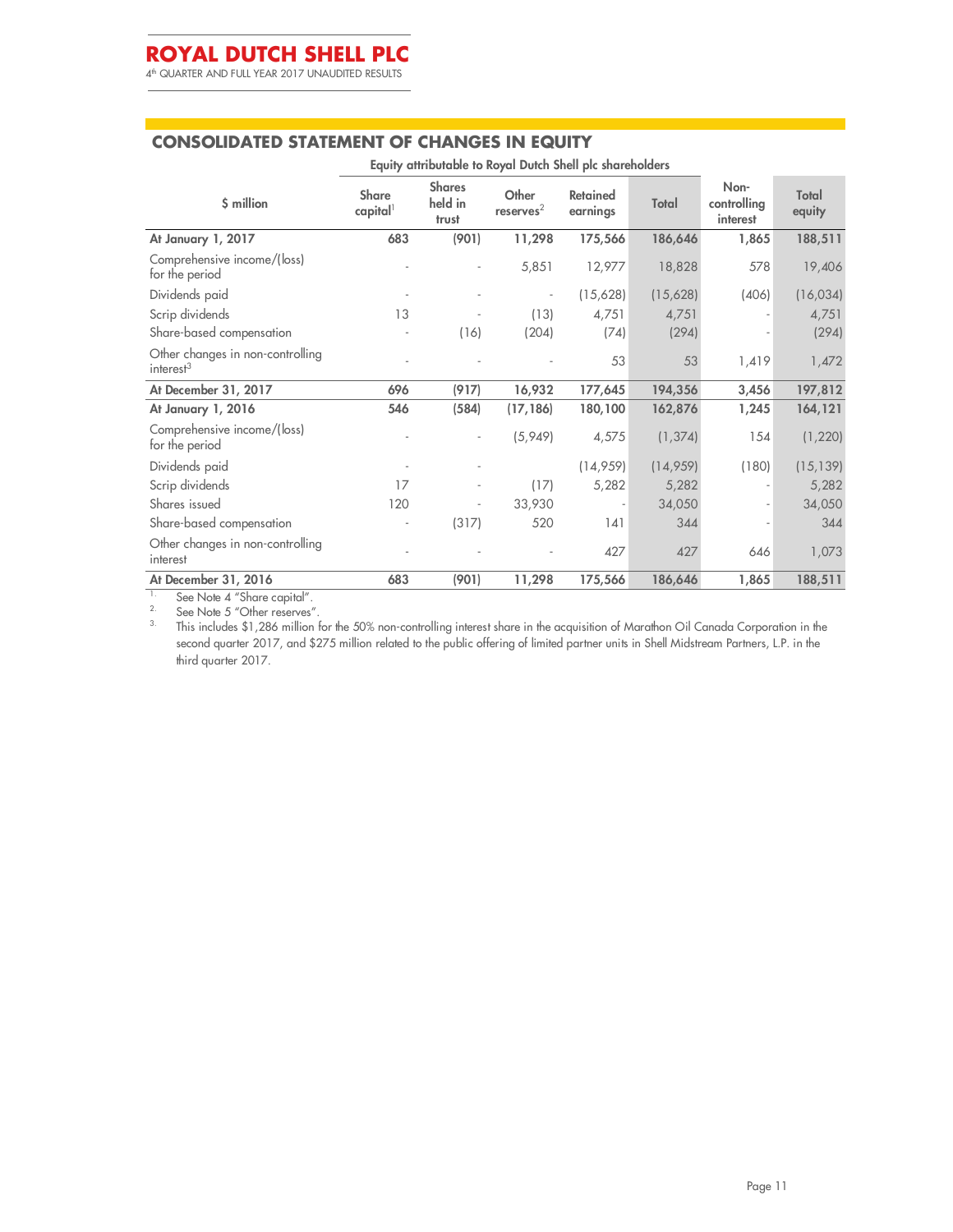4 th QUARTER AND FULL YEAR 2017 UNAUDITED RESULTS

### **CONSOLIDATED STATEMENT OF CHANGES IN EQUITY**

|                                                           | Equity attributable to Royal Dutch Shell plc shareholders |                                   |                                |                             |          |                                 |                 |  |  |
|-----------------------------------------------------------|-----------------------------------------------------------|-----------------------------------|--------------------------------|-----------------------------|----------|---------------------------------|-----------------|--|--|
| \$ million                                                | <b>Share</b><br>capital                                   | <b>Shares</b><br>held in<br>trust | Other<br>reserves <sup>2</sup> | <b>Retained</b><br>earnings | Total    | Non-<br>controlling<br>interest | Total<br>equity |  |  |
| At January 1, 2017                                        | 683                                                       | (901)                             | 11,298                         | 175,566                     | 186,646  | 1,865                           | 188,511         |  |  |
| Comprehensive income/(loss)<br>for the period             |                                                           | $\overline{a}$                    | 5,851                          | 12,977                      | 18,828   | 578                             | 19,406          |  |  |
| Dividends paid                                            |                                                           |                                   |                                | (15,628)                    | (15,628) | (406)                           | (16, 034)       |  |  |
| Scrip dividends                                           | 13                                                        |                                   | (13)                           | 4,751                       | 4,751    |                                 | 4,751           |  |  |
| Share-based compensation                                  |                                                           | (16)                              | (204)                          | (74)                        | (294)    |                                 | (294)           |  |  |
| Other changes in non-controlling<br>interest <sup>3</sup> |                                                           |                                   |                                | 53                          | 53       | 1,419                           | 1,472           |  |  |
| At December 31, 2017                                      | 696                                                       | (917)                             | 16,932                         | 177,645                     | 194,356  | 3,456                           | 197,812         |  |  |
| At January 1, 2016                                        | 546                                                       | (584)                             | (17, 186)                      | 180,100                     | 162,876  | 1,245                           | 164,121         |  |  |
| Comprehensive income/(loss)<br>for the period             |                                                           |                                   | (5,949)                        | 4,575                       | (1, 374) | 154                             | (1, 220)        |  |  |
| Dividends paid                                            |                                                           |                                   |                                | (14, 959)                   | (14,959) | (180)                           | (15, 139)       |  |  |
| Scrip dividends                                           | 17                                                        | $\overline{a}$                    | (17)                           | 5,282                       | 5,282    |                                 | 5,282           |  |  |
| Shares issued                                             | 120                                                       | $\overline{a}$                    | 33,930                         | $\overline{\phantom{a}}$    | 34,050   |                                 | 34,050          |  |  |
| Share-based compensation                                  |                                                           | (317)                             | 520                            | 141                         | 344      |                                 | 344             |  |  |
| Other changes in non-controlling<br>interest              |                                                           |                                   |                                | 427                         | 427      | 646                             | 1,073           |  |  |
| At December 31, 2016<br>$\sim$ $\sim$ $\sim$<br>الصنب     | 683                                                       | (901)                             | 11,298                         | 175,566                     | 186,646  | 1,865                           | 188,511         |  |  |

<sup>1.</sup> See Note 4 "Share capital".

 $2^{\circ}$  See Note 5 "Other reserves".

<sup>3</sup>. This includes \$1,286 million for the 50% non-controlling interest share in the acquisition of Marathon Oil Canada Corporation in the second quarter 2017, and \$275 million related to the public offering of limited partner units in Shell Midstream Partners, L.P. in the third quarter 2017.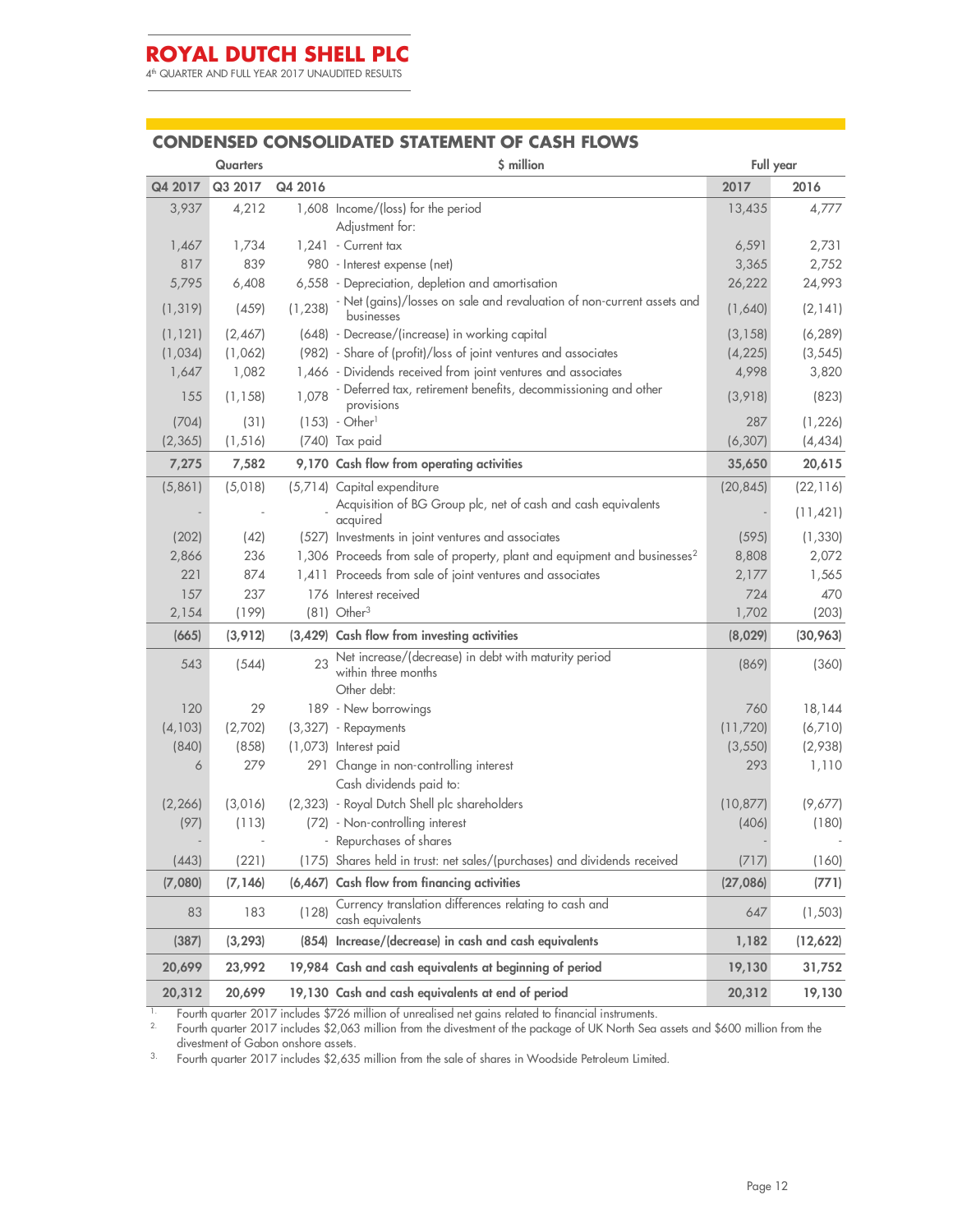4 th QUARTER AND FULL YEAR 2017 UNAUDITED RESULTS

### **CONDENSED CONSOLIDATED STATEMENT OF CASH FLOWS**

|          | Quarters |          | \$ million                                                                                 | Full year       |           |  |
|----------|----------|----------|--------------------------------------------------------------------------------------------|-----------------|-----------|--|
| Q4 2017  | Q3 2017  | Q4 2016  |                                                                                            | 2017            | 2016      |  |
| 3,937    | 4,212    |          | 1,608 Income/(loss) for the period                                                         | 13,435          | 4,777     |  |
| 1,467    | 1,734    |          | Adjustment for:<br>1,241 - Current tax                                                     |                 | 2,731     |  |
| 817      | 839      |          |                                                                                            | 6,591           | 2,752     |  |
| 5,795    | 6,408    |          | 980 - Interest expense (net)<br>6,558 - Depreciation, depletion and amortisation           | 3,365<br>26,222 | 24,993    |  |
| (1, 319) | (459)    | (1, 238) | - Net (gains)/losses on sale and revaluation of non-current assets and<br>businesses       | (1,640)         | (2, 141)  |  |
| (1, 121) | (2,467)  |          | (648) - Decrease/(increase) in working capital                                             | (3, 158)        | (6, 289)  |  |
| (1,034)  | (1,062)  |          | (982) - Share of (profit)/loss of joint ventures and associates                            | (4, 225)        | (3, 545)  |  |
| 1,647    | 1,082    |          | 1,466 - Dividends received from joint ventures and associates                              | 4,998           | 3,820     |  |
| 155      | (1, 158) | 1.078    | - Deferred tax, retirement benefits, decommissioning and other<br>provisions               | (3,918)         | (823)     |  |
| (704)    | (31)     |          | $(153) - Other1$                                                                           | 287             | (1, 226)  |  |
| (2, 365) | (1, 516) |          | (740) Tax paid                                                                             | (6, 307)        | (4, 434)  |  |
| 7,275    | 7,582    |          | 9,170 Cash flow from operating activities                                                  | 35,650          | 20,615    |  |
| (5,861)  | (5,018)  |          | (5,714) Capital expenditure                                                                | (20, 845)       | (22, 116) |  |
|          |          |          | Acquisition of BG Group plc, net of cash and cash equivalents<br>acquired                  |                 | (11, 421) |  |
| (202)    | (42)     |          | (527) Investments in joint ventures and associates                                         | (595)           | (1, 330)  |  |
| 2,866    | 236      |          | 1,306 Proceeds from sale of property, plant and equipment and businesses <sup>2</sup>      | 8,808           | 2,072     |  |
| 221      | 874      |          | 1,411 Proceeds from sale of joint ventures and associates                                  | 2,177           | 1,565     |  |
| 157      | 237      |          | 176 Interest received                                                                      | 724             | 470       |  |
| 2,154    | (199)    |          | $(81)$ Other <sup>3</sup>                                                                  | 1,702           | (203)     |  |
| (665)    | (3, 912) |          | (3,429) Cash flow from investing activities                                                | (8,029)         | (30,963)  |  |
| 543      | (544)    | 23       | Net increase/(decrease) in debt with maturity period<br>within three months<br>Other debt: | (869)           | (360)     |  |
| 120      | 29       |          | 189 - New borrowings                                                                       | 760             | 18,144    |  |
| (4, 103) | (2,702)  |          | $(3,327)$ - Repayments                                                                     | (11,720)        | (6,710)   |  |
| (840)    | (858)    |          | (1,073) Interest paid                                                                      | (3, 550)        | (2,938)   |  |
| 6        | 279      |          | 291 Change in non-controlling interest<br>Cash dividends paid to:                          | 293             | 1,110     |  |
| (2, 266) | (3,016)  |          | (2,323) - Royal Dutch Shell plc shareholders                                               | (10, 877)       | (9,677)   |  |
| (97)     | (113)    |          | (72) - Non-controlling interest                                                            | (406)           | (180)     |  |
|          |          |          | - Repurchases of shares                                                                    |                 |           |  |
| (443)    | (221)    |          | (175) Shares held in trust: net sales/(purchases) and dividends received                   | (717)           | (160)     |  |
| (7,080)  | (7, 146) | (6, 467) | Cash flow from financing activities                                                        | (27, 086)       | (771)     |  |
| 83       | 183      | (128)    | Currency translation differences relating to cash and<br>cash equivalents                  | 647             | (1, 503)  |  |
| (387)    | (3, 293) |          | (854) Increase/(decrease) in cash and cash equivalents                                     | 1,182           | (12,622)  |  |
| 20,699   | 23,992   |          | 19,984 Cash and cash equivalents at beginning of period                                    | 19,130          | 31,752    |  |
| 20,312   | 20,699   |          | 19,130 Cash and cash equivalents at end of period                                          | 20,312          | 19,130    |  |

 $1.$  Fourth quarter 2017 includes \$726 million of unrealised net gains related to financial instruments.

 $^{2}$  Fourth quarter 2017 includes \$2,063 million from the divestment of the package of UK North Sea assets and \$600 million from the divestment of Gabon onshore assets.

3. Fourth quarter 2017 includes \$2,635 million from the sale of shares in Woodside Petroleum Limited.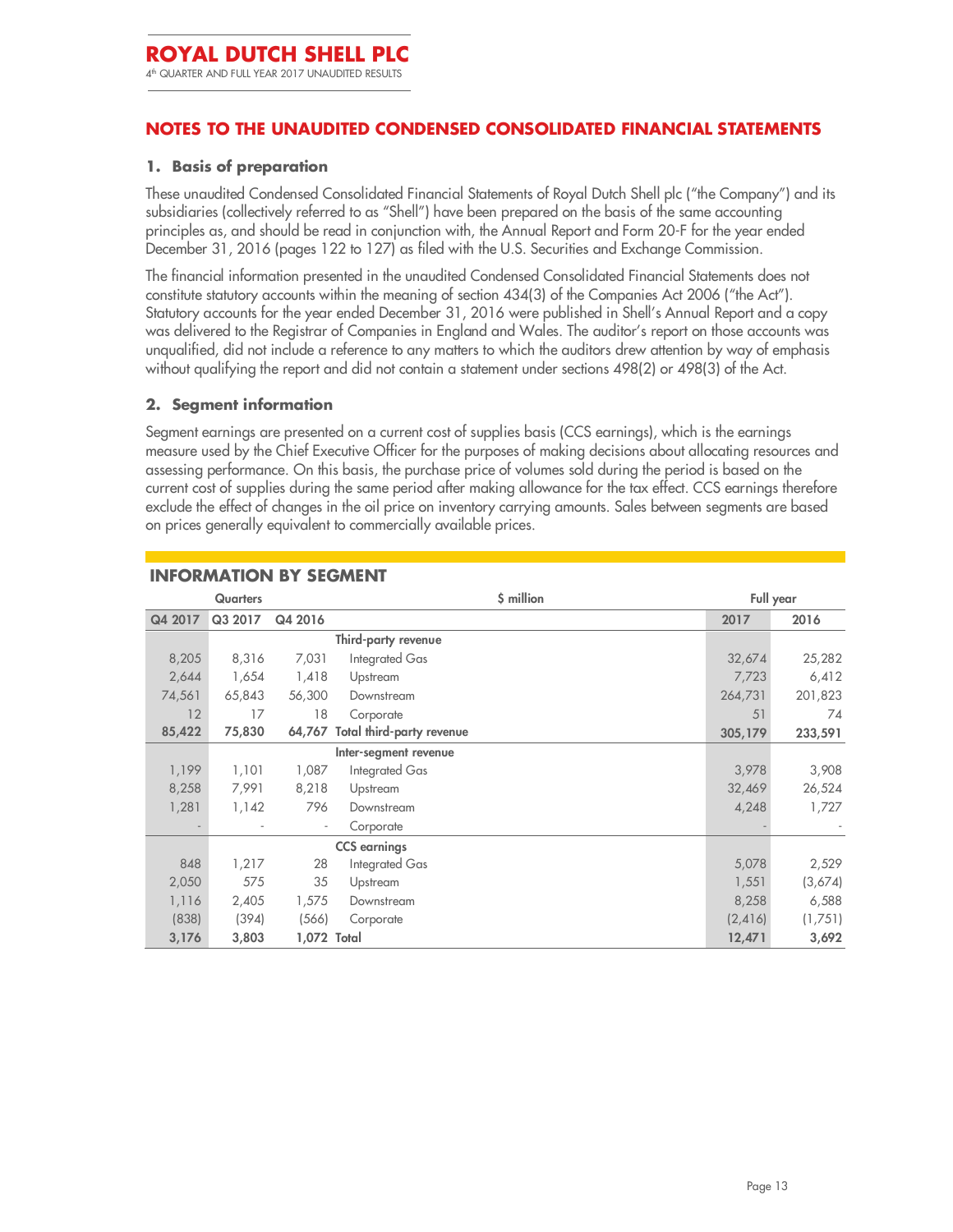### **NOTES TO THE UNAUDITED CONDENSED CONSOLIDATED FINANCIAL STATEMENTS**

#### **1. Basis of preparation**

These unaudited Condensed Consolidated Financial Statements of Royal Dutch Shell plc ("the Company") and its subsidiaries (collectively referred to as "Shell") have been prepared on the basis of the same accounting principles as, and should be read in conjunction with, the Annual Report and Form 20-F for the year ended December 31, 2016 (pages 122 to 127) as filed with the U.S. Securities and Exchange Commission.

The financial information presented in the unaudited Condensed Consolidated Financial Statements does not constitute statutory accounts within the meaning of section 434(3) of the Companies Act 2006 ("the Act"). Statutory accounts for the year ended December 31, 2016 were published in Shell's Annual Report and a copy was delivered to the Registrar of Companies in England and Wales. The auditor's report on those accounts was unqualified, did not include a reference to any matters to which the auditors drew attention by way of emphasis without qualifying the report and did not contain a statement under sections 498(2) or 498(3) of the Act.

### **2. Segment information**

Segment earnings are presented on a current cost of supplies basis (CCS earnings), which is the earnings measure used by the Chief Executive Officer for the purposes of making decisions about allocating resources and assessing performance. On this basis, the purchase price of volumes sold during the period is based on the current cost of supplies during the same period after making allowance for the tax effect. CCS earnings therefore exclude the effect of changes in the oil price on inventory carrying amounts. Sales between segments are based on prices generally equivalent to commercially available prices.

|         | <b>Quarters</b> |                          |                                  | \$ million | Full year |         |
|---------|-----------------|--------------------------|----------------------------------|------------|-----------|---------|
| Q4 2017 | Q3 2017         | Q4 2016                  |                                  |            | 2017      | 2016    |
|         |                 |                          | Third-party revenue              |            |           |         |
| 8,205   | 8,316           | 7,031                    | Integrated Gas                   |            | 32,674    | 25,282  |
| 2,644   | 1,654           | 1,418                    | Upstream                         |            | 7,723     | 6,412   |
| 74,561  | 65,843          | 56,300                   | Downstream                       |            | 264,731   | 201,823 |
| 12      | 17              | 18                       | Corporate                        |            | 51        | 74      |
| 85,422  | 75,830          | 64,767                   | <b>Total third-party revenue</b> |            | 305,179   | 233,591 |
|         |                 |                          | Inter-segment revenue            |            |           |         |
| 1,199   | 1,101           | 1,087                    | Integrated Gas                   |            | 3,978     | 3,908   |
| 8,258   | 7,991           | 8,218                    | Upstream                         |            | 32,469    | 26,524  |
| 1,281   | 1,142           | 796                      | Downstream                       |            | 4,248     | 1,727   |
|         |                 | $\overline{\phantom{a}}$ | Corporate                        |            |           |         |
|         |                 |                          | <b>CCS</b> earnings              |            |           |         |
| 848     | 1,217           | 28                       | Integrated Gas                   |            | 5,078     | 2,529   |
| 2,050   | 575             | 35                       | Upstream                         |            | 1,551     | (3,674) |
| 1,116   | 2,405           | 1,575                    | Downstream                       |            | 8,258     | 6,588   |
| (838)   | (394)           | (566)                    | Corporate                        |            | (2,416)   | (1,751) |
| 3,176   | 3,803           | 1,072 Total              |                                  |            | 12,471    | 3,692   |

### **INFORMATION BY SEGMENT**

Ī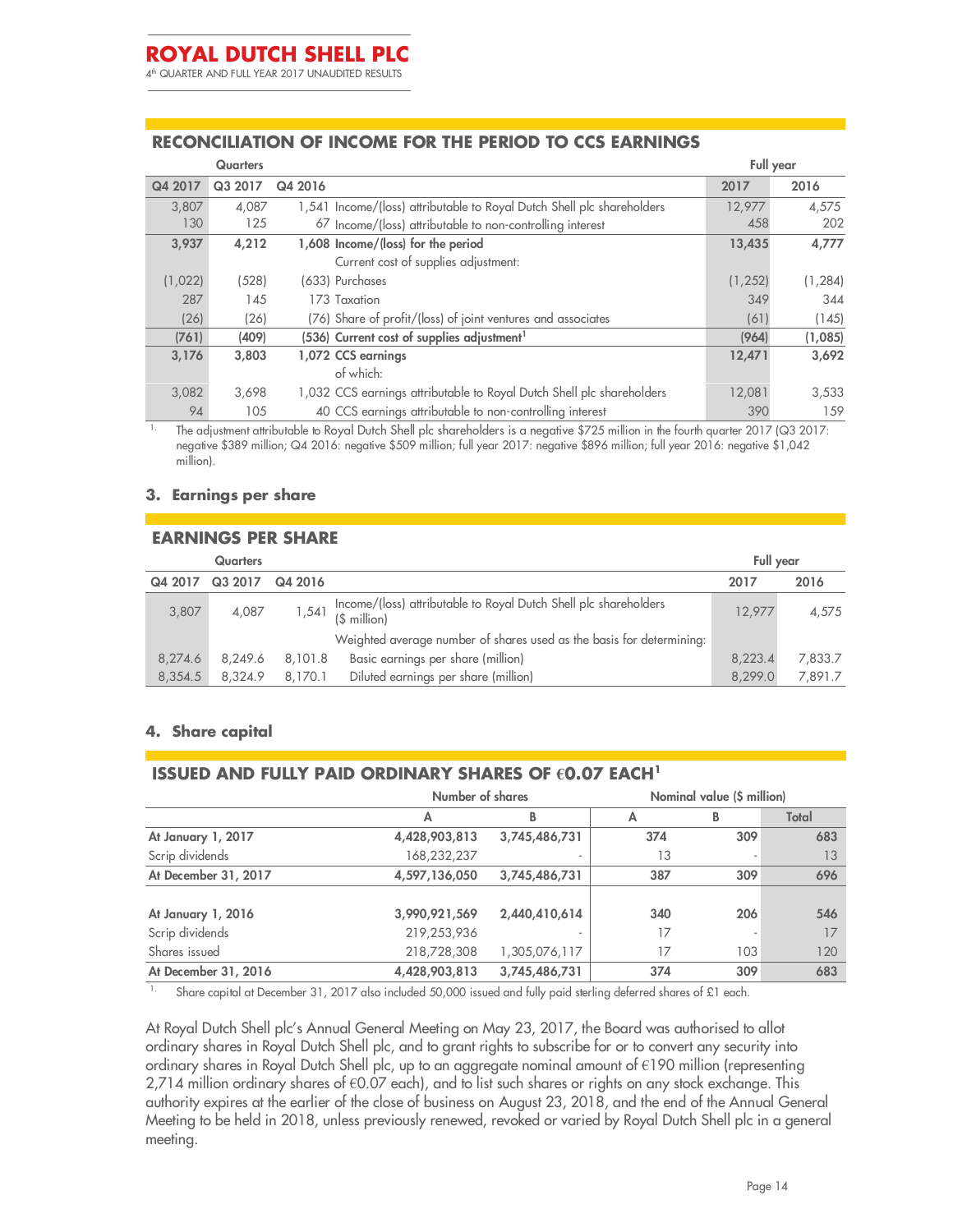4 th QUARTER AND FULL YEAR 2017 UNAUDITED RESULTS

### **RECONCILIATION OF INCOME FOR THE PERIOD TO CCS EARNINGS**

|         | <b>Quarters</b> |                                                                        | Full year |          |
|---------|-----------------|------------------------------------------------------------------------|-----------|----------|
| Q4 2017 | Q3 2017         | Q4 2016                                                                | 2017      | 2016     |
| 3.807   | 4,087           | 1,541 Income/(loss) attributable to Royal Dutch Shell plc shareholders | 12,977    | 4,575    |
| 130     | 125             | 67 Income/(loss) attributable to non-controlling interest              | 458       | 202      |
| 3,937   | 4,212           | 1,608 Income/(loss) for the period                                     | 13,435    | 4,777    |
|         |                 | Current cost of supplies adjustment:                                   |           |          |
| (1,022) | (528)           | (633) Purchases                                                        | (1, 252)  | (1, 284) |
| 287     | 145             | 173 Taxation                                                           | 349       | 344      |
| (26)    | (26)            | (76) Share of profit/(loss) of joint ventures and associates           | (61)      | (145)    |
| (761)   | (409)           | (536) Current cost of supplies adjustment <sup>1</sup>                 | (964)     | (1,085)  |
| 3,176   | 3,803           | 1,072 CCS earnings                                                     | 12,471    | 3,692    |
|         |                 | of which:                                                              |           |          |
| 3,082   | 3,698           | 1,032 CCS earnings attributable to Royal Dutch Shell plc shareholders  | 12,081    | 3,533    |
| 94      | 105             | 40 CCS earnings attributable to non-controlling interest               | 390       | 159      |

1. The adjustment attributable to Royal Dutch Shell plc shareholders is a negative \$725 million in the fourth quarter 2017 (Q3 2017: negative \$389 million; Q4 2016: negative \$509 million; full year 2017: negative \$896 million; full year 2016: negative \$1,042 million).

#### **3. Earnings per share**

#### **EARNINGS PER SHARE**

|         | <b>Quarters</b> |         |                                                                                  | Full year |         |
|---------|-----------------|---------|----------------------------------------------------------------------------------|-----------|---------|
| Q4 2017 | Q3 2017         | Q4 2016 |                                                                                  | 2017      | 2016    |
| 3,807   | 4,087           | 1,541   | Income/(loss) attributable to Royal Dutch Shell plc shareholders<br>(\$ million) | 12.977    | 4,575   |
|         |                 |         | Weighted average number of shares used as the basis for determining:             |           |         |
| 8,274.6 | 8.249.6         | 8,101.8 | Basic earnings per share (million)                                               | 8,223.4   | 7,833.7 |
| 8,354.5 | 8.324.9         | 8.170.1 | Diluted earnings per share (million)                                             | 8.299.0   | 7,891.7 |

#### **4. Share capital**

### **ISSUED AND FULLY PAID ORDINARY SHARES OF €0.07 EACH<sup>1</sup>**

|                      | Number of shares |               | Nominal value (\$ million) |     |       |
|----------------------|------------------|---------------|----------------------------|-----|-------|
|                      | А                | В             | Α                          | В   | Total |
| At January 1, 2017   | 4,428,903,813    | 3,745,486,731 | 374                        | 309 | 683   |
| Scrip dividends      | 168,232,237      |               | 13                         |     | 13    |
| At December 31, 2017 | 4,597,136,050    | 3,745,486,731 | 387                        | 309 | 696   |
|                      |                  |               |                            |     |       |
| At January 1, 2016   | 3,990,921,569    | 2,440,410,614 | 340                        | 206 | 546   |
| Scrip dividends      | 219,253,936      |               | 17                         |     | 17    |
| Shares issued        | 218,728,308      | 1,305,076,117 | 17                         | 103 | 120   |
| At December 31, 2016 | 4,428,903,813    | 3,745,486,731 | 374                        | 309 | 683   |

<sup>1.</sup> Share capital at December 31, 2017 also included 50,000 issued and fully paid sterling deferred shares of £1 each.

At Royal Dutch Shell plc's Annual General Meeting on May 23, 2017, the Board was authorised to allot ordinary shares in Royal Dutch Shell plc, and to grant rights to subscribe for or to convert any security into ordinary shares in Royal Dutch Shell plc, up to an aggregate nominal amount of €190 million (representing 2,714 million ordinary shares of €0.07 each), and to list such shares or rights on any stock exchange. This authority expires at the earlier of the close of business on August 23, 2018, and the end of the Annual General Meeting to be held in 2018, unless previously renewed, revoked or varied by Royal Dutch Shell plc in a general meeting.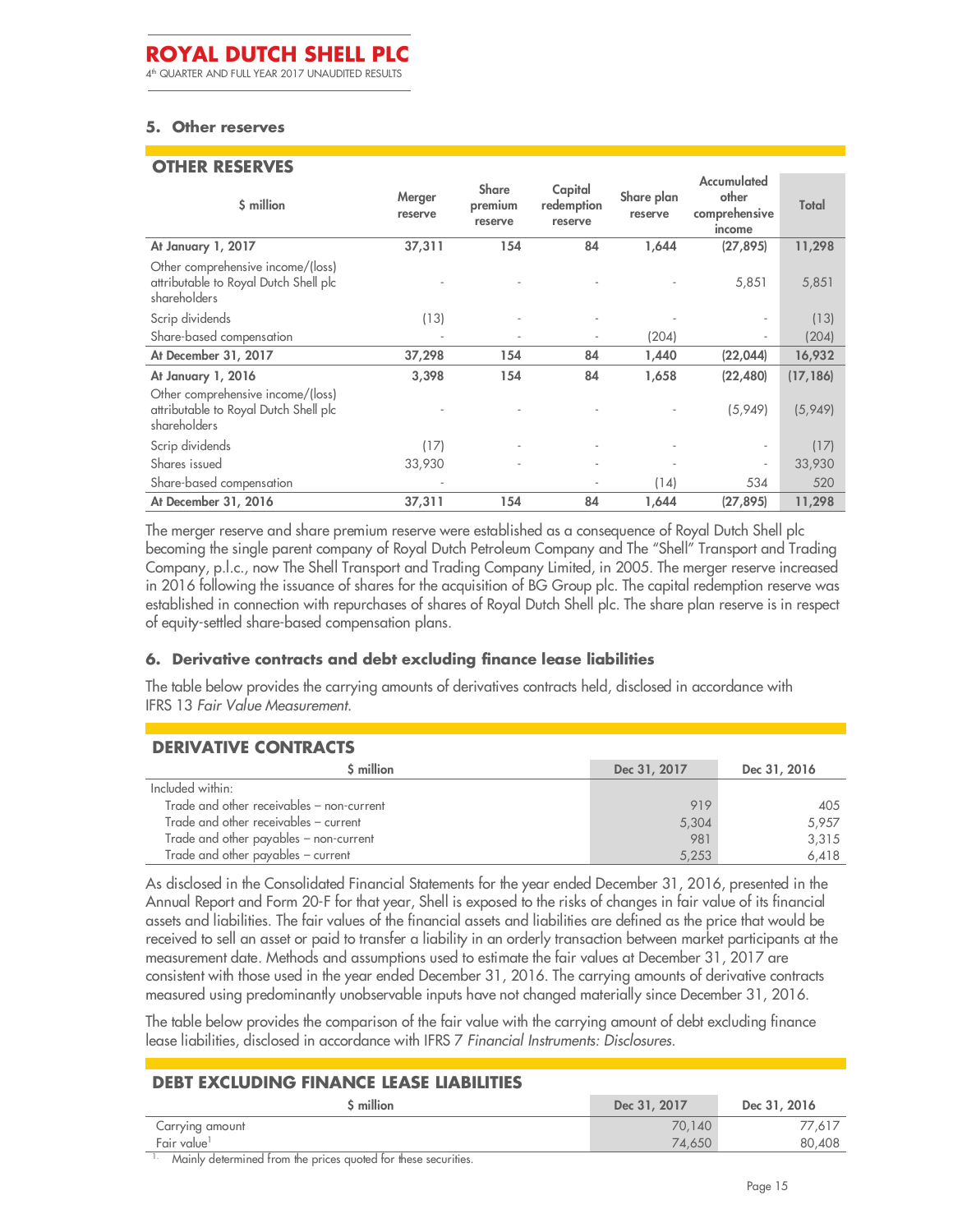4 th QUARTER AND FULL YEAR 2017 UNAUDITED RESULTS

#### **5. Other reserves**

#### **OTHER RESERVES**

| \$ million                                                                                 | Merger<br>reserve | <b>Share</b><br>premium<br>reserve | Capital<br>redemption<br>reserve | Share plan<br>reserve | Accumulated<br>other<br>comprehensive<br>income | Total     |
|--------------------------------------------------------------------------------------------|-------------------|------------------------------------|----------------------------------|-----------------------|-------------------------------------------------|-----------|
| At January 1, 2017                                                                         | 37,311            | 154                                | 84                               | 1,644                 | (27, 895)                                       | 11,298    |
| Other comprehensive income/(loss)<br>attributable to Royal Dutch Shell plc<br>shareholders |                   |                                    |                                  |                       | 5,851                                           | 5,851     |
| Scrip dividends                                                                            | (13)              |                                    |                                  |                       |                                                 | (13)      |
| Share-based compensation                                                                   | ٠                 |                                    | $\overline{a}$                   | (204)                 | $\overline{\phantom{a}}$                        | (204)     |
| At December 31, 2017                                                                       | 37,298            | 154                                | 84                               | 1,440                 | (22, 044)                                       | 16,932    |
| At January 1, 2016                                                                         | 3,398             | 154                                | 84                               | 1,658                 | (22, 480)                                       | (17, 186) |
| Other comprehensive income/(loss)<br>attributable to Royal Dutch Shell plc<br>shareholders |                   |                                    |                                  |                       | (5,949)                                         | (5,949)   |
| Scrip dividends                                                                            | (17)              |                                    |                                  |                       |                                                 | (17)      |
| Shares issued                                                                              | 33,930            |                                    | $\overline{\phantom{a}}$         |                       | $\blacksquare$                                  | 33,930    |
| Share-based compensation                                                                   |                   |                                    |                                  | (14)                  | 534                                             | 520       |
| At December 31, 2016                                                                       | 37,311            | 154                                | 84                               | 1,644                 | (27, 895)                                       | 11,298    |

The merger reserve and share premium reserve were established as a consequence of Royal Dutch Shell plc becoming the single parent company of Royal Dutch Petroleum Company and The "Shell" Transport and Trading Company, p.l.c., now The Shell Transport and Trading Company Limited, in 2005. The merger reserve increased in 2016 following the issuance of shares for the acquisition of BG Group plc. The capital redemption reserve was established in connection with repurchases of shares of Royal Dutch Shell plc. The share plan reserve is in respect of equity-settled share-based compensation plans.

#### **6. Derivative contracts and debt excluding finance lease liabilities**

The table below provides the carrying amounts of derivatives contracts held, disclosed in accordance with IFRS 13 *Fair Value Measurement*.

### **DERIVATIVE CONTRACTS**

| S million                                 | Dec 31, 2017 | Dec 31, 2016 |
|-------------------------------------------|--------------|--------------|
| Included within:                          |              |              |
| Trade and other receivables - non-current | 919          | 405          |
| Trade and other receivables - current     | 5,304        | 5.957        |
| Trade and other payables - non-current    | 981          | 3.315        |
| Trade and other payables - current        | 5,253        | 6,418        |

As disclosed in the Consolidated Financial Statements for the year ended December 31, 2016, presented in the Annual Report and Form 20-F for that year, Shell is exposed to the risks of changes in fair value of its financial assets and liabilities. The fair values of the financial assets and liabilities are defined as the price that would be received to sell an asset or paid to transfer a liability in an orderly transaction between market participants at the measurement date. Methods and assumptions used to estimate the fair values at December 31, 2017 are consistent with those used in the year ended December 31, 2016. The carrying amounts of derivative contracts measured using predominantly unobservable inputs have not changed materially since December 31, 2016.

The table below provides the comparison of the fair value with the carrying amount of debt excluding finance lease liabilities, disclosed in accordance with IFRS 7 *Financial Instruments: Disclosures*.

#### **DEBT EXCLUDING FINANCE LEASE LIABILITIES**

| <b>S</b> million        | Dec 31, 2017 | Dec 31, 2016 |
|-------------------------|--------------|--------------|
| Carrying amount         | 70.140       | 77,617       |
| Fair value <sup>1</sup> | 74,650       | 80,408       |
| .<br>$\cdots$           |              |              |

1. Mainly determined from the prices quoted for these securities.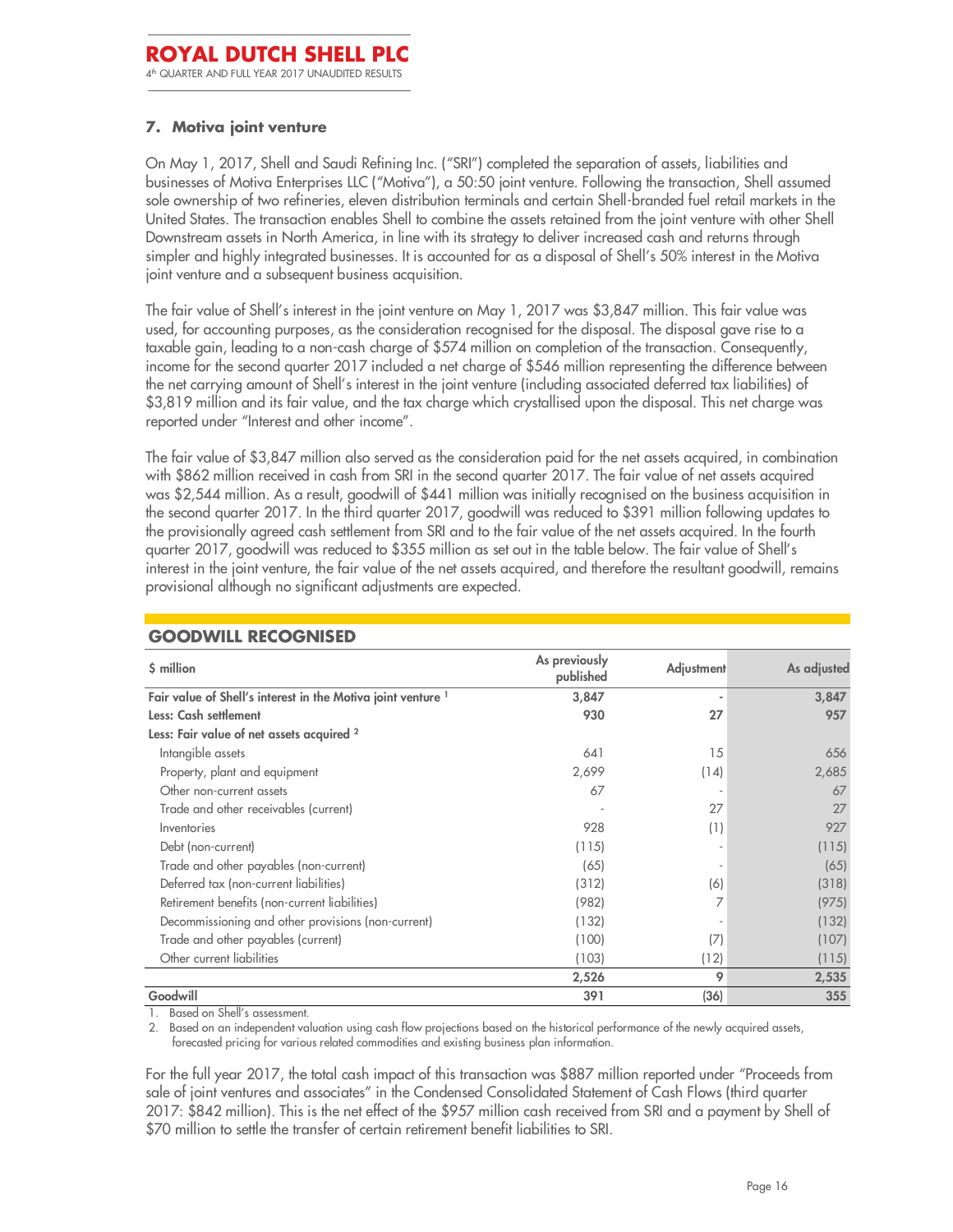### **7. Motiva joint venture**

On May 1, 2017, Shell and Saudi Refining Inc. ("SRI") completed the separation of assets, liabilities and businesses of Motiva Enterprises LLC ("Motiva"), a 50:50 joint venture. Following the transaction, Shell assumed sole ownership of two refineries, eleven distribution terminals and certain Shell-branded fuel retail markets in the United States. The transaction enables Shell to combine the assets retained from the joint venture with other Shell Downstream assets in North America, in line with its strategy to deliver increased cash and returns through simpler and highly integrated businesses. It is accounted for as a disposal of Shell's 50% interest in the Motiva joint venture and a subsequent business acquisition.

The fair value of Shell's interest in the joint venture on May 1, 2017 was \$3,847 million. This fair value was used, for accounting purposes, as the consideration recognised for the disposal. The disposal gave rise to a taxable gain, leading to a non-cash charge of \$574 million on completion of the transaction. Consequently, income for the second quarter 2017 included a net charge of \$546 million representing the difference between the net carrying amount of Shell's interest in the joint venture (including associated deferred tax liabilities) of \$3,819 million and its fair value, and the tax charge which crystallised upon the disposal. This net charge was reported under "Interest and other income".

The fair value of \$3,847 million also served as the consideration paid for the net assets acquired, in combination with \$862 million received in cash from SRI in the second quarter 2017. The fair value of net assets acquired was \$2,544 million. As a result, goodwill of \$441 million was initially recognised on the business acquisition in the second quarter 2017. In the third quarter 2017, goodwill was reduced to \$391 million following updates to the provisionally agreed cash settlement from SRI and to the fair value of the net assets acquired. In the fourth quarter 2017, goodwill was reduced to \$355 million as set out in the table below. The fair value of Shell's interest in the joint venture, the fair value of the net assets acquired, and therefore the resultant goodwill, remains provisional although no significant adjustments are expected.

| \$ million                                                   | As previously<br>published | <b>Adjustment</b> | As adjusted |
|--------------------------------------------------------------|----------------------------|-------------------|-------------|
| Fair value of Shell's interest in the Motiva joint venture 1 | 3,847                      |                   | 3,847       |
| Less: Cash settlement                                        | 930                        | 27                | 957         |
| Less: Fair value of net assets acquired <sup>2</sup>         |                            |                   |             |
| Intangible assets                                            | 641                        | 15                | 656         |
| Property, plant and equipment                                | 2,699                      | (14)              | 2,685       |
| Other non-current assets                                     | 67                         |                   | 67          |
| Trade and other receivables (current)                        |                            | 27                | 27          |
| Inventories                                                  | 928                        | (1)               | 927         |
| Debt (non-current)                                           | (115)                      |                   | (115)       |
| Trade and other payables (non-current)                       | (65)                       |                   | (65)        |
| Deferred tax (non-current liabilities)                       | (312)                      | (6)               | (318)       |
| Retirement benefits (non-current liabilities)                | (982)                      |                   | (975)       |
| Decommissioning and other provisions (non-current)           | (132)                      |                   | (132)       |
| Trade and other payables (current)                           | (100)                      | (7)               | (107)       |
| Other current liabilities                                    | (103)                      | (12)              | (115)       |
|                                                              | 2,526                      | 9                 | 2,535       |
| Goodwill                                                     | 391                        | (36)              | 355         |

#### **GOODWILL RECOGNISED**

1. Based on Shell's assessment.

2. Based on an independent valuation using cash flow projections based on the historical performance of the newly acquired assets, forecasted pricing for various related commodities and existing business plan information.

For the full year 2017, the total cash impact of this transaction was \$887 million reported under "Proceeds from sale of joint ventures and associates" in the Condensed Consolidated Statement of Cash Flows (third quarter 2017: \$842 million). This is the net effect of the \$957 million cash received from SRI and a payment by Shell of \$70 million to settle the transfer of certain retirement benefit liabilities to SRI.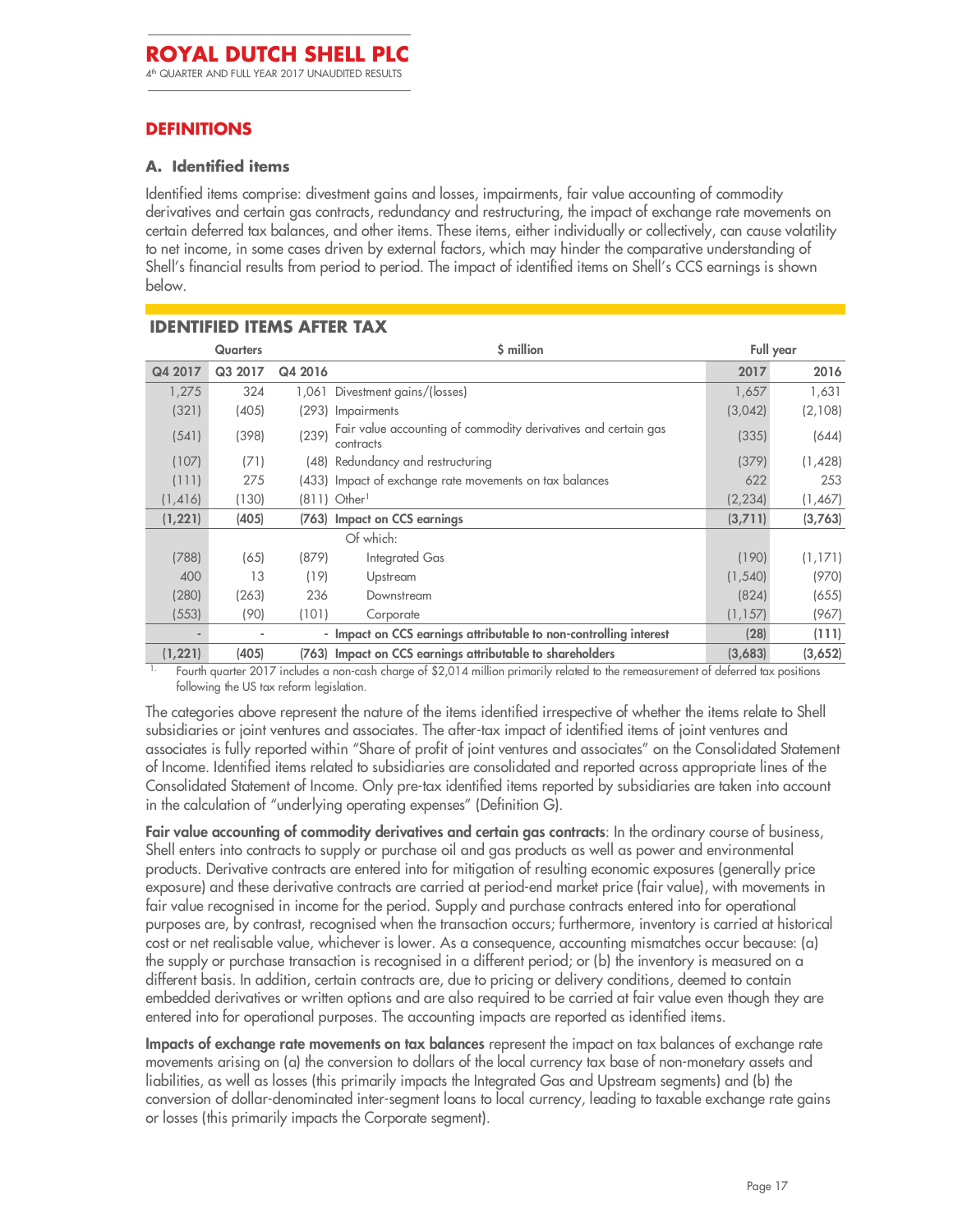### **DEFINITIONS**

#### **A. Identified items**

Identified items comprise: divestment gains and losses, impairments, fair value accounting of commodity derivatives and certain gas contracts, redundancy and restructuring, the impact of exchange rate movements on certain deferred tax balances, and other items. These items, either individually or collectively, can cause volatility to net income, in some cases driven by external factors, which may hinder the comparative understanding of Shell's financial results from period to period. The impact of identified items on Shell's CCS earnings is shown below.

|          | \$ million<br><b>Quarters</b> |         | Full year                                                                   |          |         |
|----------|-------------------------------|---------|-----------------------------------------------------------------------------|----------|---------|
| Q4 2017  | Q3 2017                       | Q4 2016 |                                                                             | 2017     | 2016    |
| 1,275    | 324                           | 1,061   | Divestment gains/(losses)                                                   | 1,657    | 1,631   |
| (321)    | (405)                         | (293)   | <b>Impairments</b>                                                          | (3,042)  | (2,108) |
| (541)    | (398)                         | (239)   | Fair value accounting of commodity derivatives and certain gas<br>contracts | (335)    | (644)   |
| (107)    | (71)                          |         | (48) Redundancy and restructuring                                           | (379)    | (1,428) |
| (111)    | 275                           |         | (433) Impact of exchange rate movements on tax balances                     | 622      | 253     |
| (1, 416) | (130)                         | (811)   | Other <sup>1</sup>                                                          | (2, 234) | (1,467) |
| (1, 221) | (405)                         | (763)   | Impact on CCS earnings                                                      | (3,711)  | (3,763) |
|          |                               |         | Of which:                                                                   |          |         |
| (788)    | (65)                          | (879)   | Integrated Gas                                                              | (190)    | (1,171) |
| 400      | 13                            | (19)    | Upstream                                                                    | (1, 540) | (970)   |
| (280)    | (263)                         | 236     | Downstream                                                                  | (824)    | (655)   |
| (553)    | (90)                          | (101)   | Corporate                                                                   | (1, 157) | (967)   |
|          |                               |         | - Impact on CCS earnings attributable to non-controlling interest           | (28)     | (111)   |
| (1, 221) | (405)                         |         | (763) Impact on CCS earnings attributable to shareholders                   | (3,683)  | (3,652) |

Fourth quarter 2017 includes a non-cash charge of \$2,014 million primarily related to the remeasurement of deferred tax positions following the US tax reform legislation.

The categories above represent the nature of the items identified irrespective of whether the items relate to Shell subsidiaries or joint ventures and associates. The after-tax impact of identified items of joint ventures and associates is fully reported within "Share of profit of joint ventures and associates" on the Consolidated Statement of Income. Identified items related to subsidiaries are consolidated and reported across appropriate lines of the Consolidated Statement of Income. Only pre-tax identified items reported by subsidiaries are taken into account in the calculation of "underlying operating expenses" (Definition G).

**Fair value accounting of commodity derivatives and certain gas contracts**: In the ordinary course of business, Shell enters into contracts to supply or purchase oil and gas products as well as power and environmental products. Derivative contracts are entered into for mitigation of resulting economic exposures (generally price exposure) and these derivative contracts are carried at period-end market price (fair value), with movements in fair value recognised in income for the period. Supply and purchase contracts entered into for operational purposes are, by contrast, recognised when the transaction occurs; furthermore, inventory is carried at historical cost or net realisable value, whichever is lower. As a consequence, accounting mismatches occur because: (a) the supply or purchase transaction is recognised in a different period; or (b) the inventory is measured on a different basis. In addition, certain contracts are, due to pricing or delivery conditions, deemed to contain embedded derivatives or written options and are also required to be carried at fair value even though they are entered into for operational purposes. The accounting impacts are reported as identified items.

**Impacts of exchange rate movements on tax balances** represent the impact on tax balances of exchange rate movements arising on (a) the conversion to dollars of the local currency tax base of non-monetary assets and liabilities, as well as losses (this primarily impacts the Integrated Gas and Upstream segments) and (b) the conversion of dollar-denominated inter-segment loans to local currency, leading to taxable exchange rate gains or losses (this primarily impacts the Corporate segment).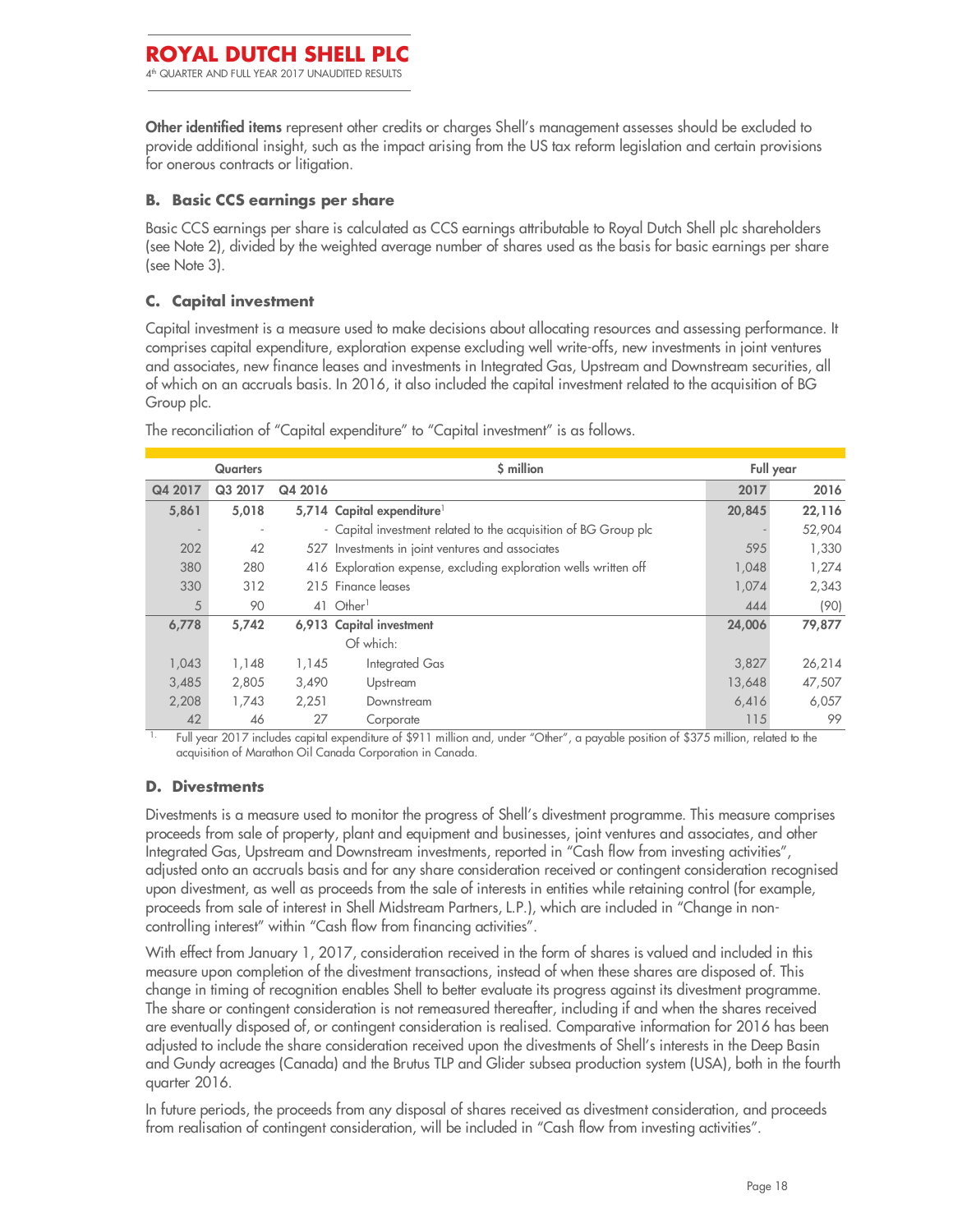**Other identified items** represent other credits or charges Shell's management assesses should be excluded to provide additional insight, such as the impact arising from the US tax reform legislation and certain provisions for onerous contracts or litigation.

### **B. Basic CCS earnings per share**

Basic CCS earnings per share is calculated as CCS earnings attributable to Royal Dutch Shell plc shareholders (see Note 2), divided by the weighted average number of shares used as the basis for basic earnings per share (see Note 3).

### **C. Capital investment**

Capital investment is a measure used to make decisions about allocating resources and assessing performance. It comprises capital expenditure, exploration expense excluding well write-offs, new investments in joint ventures and associates, new finance leases and investments in Integrated Gas, Upstream and Downstream securities, all of which on an accruals basis. In 2016, it also included the capital investment related to the acquisition of BG Group plc.

|         | <b>Quarters</b> |         | \$ million                                                       |        | Full year |
|---------|-----------------|---------|------------------------------------------------------------------|--------|-----------|
| Q4 2017 | Q3 2017         | Q4 2016 |                                                                  | 2017   | 2016      |
| 5,861   | 5,018           |         | 5,714 Capital expenditure <sup>1</sup>                           | 20,845 | 22,116    |
|         |                 |         | - Capital investment related to the acquisition of BG Group plc  |        | 52,904    |
| 202     | 42              |         | 527 Investments in joint ventures and associates                 | 595    | 1,330     |
| 380     | 280             |         | 416 Exploration expense, excluding exploration wells written off | 1,048  | 1,274     |
| 330     | 312             |         | 215 Finance leases                                               | 1,074  | 2,343     |
| 5       | 90              | 41      | Other <sup>1</sup>                                               | 444    | (90)      |
| 6,778   | 5,742           |         | 6,913 Capital investment                                         | 24,006 | 79,877    |
|         |                 |         | Of which:                                                        |        |           |
| 1,043   | 1,148           | 1,145   | Integrated Gas                                                   | 3,827  | 26,214    |
| 3,485   | 2,805           | 3,490   | Upstream                                                         | 13,648 | 47,507    |
| 2,208   | 1,743           | 2,251   | Downstream                                                       | 6,416  | 6,057     |
| 42      | 46              | 27      | Corporate                                                        | 115    | 99        |

The reconciliation of "Capital expenditure" to "Capital investment" is as follows.

1. Full year 2017 includes capital expenditure of \$911 million and, under "Other", a payable position of \$375 million, related to the acquisition of Marathon Oil Canada Corporation in Canada.

#### **D. Divestments**

Divestments is a measure used to monitor the progress of Shell's divestment programme. This measure comprises proceeds from sale of property, plant and equipment and businesses, joint ventures and associates, and other Integrated Gas, Upstream and Downstream investments, reported in "Cash flow from investing activities", adjusted onto an accruals basis and for any share consideration received or contingent consideration recognised upon divestment, as well as proceeds from the sale of interests in entities while retaining control (for example, proceeds from sale of interest in Shell Midstream Partners, L.P.), which are included in "Change in noncontrolling interest" within "Cash flow from financing activities".

With effect from January 1, 2017, consideration received in the form of shares is valued and included in this measure upon completion of the divestment transactions, instead of when these shares are disposed of. This change in timing of recognition enables Shell to better evaluate its progress against its divestment programme. The share or contingent consideration is not remeasured thereafter, including if and when the shares received are eventually disposed of, or contingent consideration is realised. Comparative information for 2016 has been adjusted to include the share consideration received upon the divestments of Shell's interests in the Deep Basin and Gundy acreages (Canada) and the Brutus TLP and Glider subsea production system (USA), both in the fourth quarter 2016.

In future periods, the proceeds from any disposal of shares received as divestment consideration, and proceeds from realisation of contingent consideration, will be included in "Cash flow from investing activities".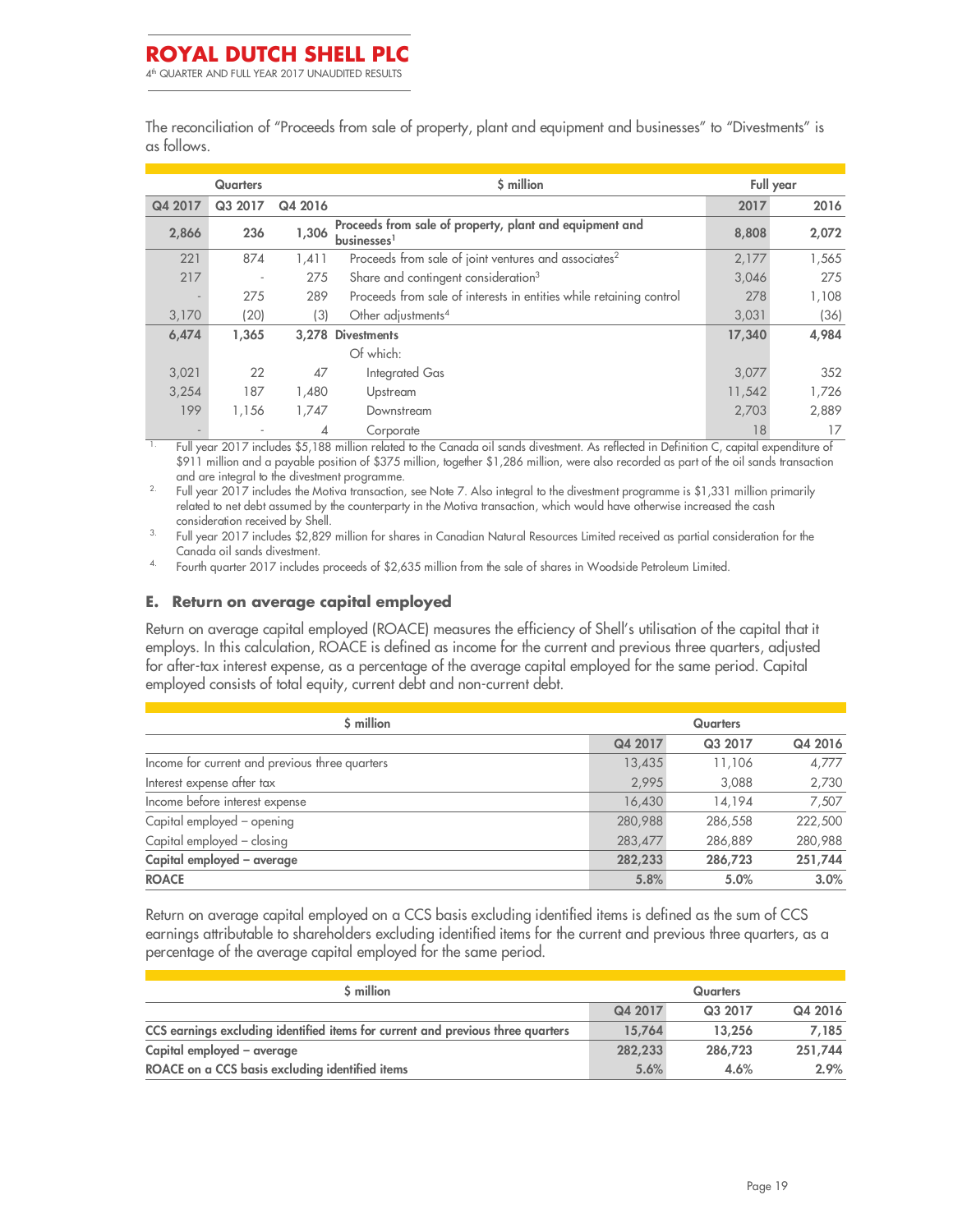The reconciliation of "Proceeds from sale of property, plant and equipment and businesses" to "Divestments" is as follows.

|         | <b>Quarters</b>          |         | \$ million                                                            |        | Full year |
|---------|--------------------------|---------|-----------------------------------------------------------------------|--------|-----------|
| Q4 2017 | Q3 2017                  | Q4 2016 |                                                                       | 2017   | 2016      |
| 2,866   | 236                      | 1,306   | Proceeds from sale of property, plant and equipment and<br>businesses | 8,808  | 2,072     |
| 221     | 874                      | 1,411   | Proceeds from sale of joint ventures and associates <sup>2</sup>      | 2,177  | 1,565     |
| 217     | $\overline{\phantom{a}}$ | 275     | Share and contingent consideration <sup>3</sup>                       | 3,046  | 275       |
|         | 275                      | 289     | Proceeds from sale of interests in entities while retaining control   | 278    | 1,108     |
| 3,170   | (20)                     | (3)     | Other adjustments <sup>4</sup>                                        | 3,031  | (36)      |
| 6,474   | 1,365                    |         | 3.278 Divestments                                                     | 17,340 | 4,984     |
|         |                          |         | Of which:                                                             |        |           |
| 3,021   | 22                       | 47      | Integrated Gas                                                        | 3,077  | 352       |
| 3,254   | 187                      | 1,480   | Upstream                                                              | 11,542 | 1,726     |
| 199     | 1,156                    | 1,747   | Downstream                                                            | 2,703  | 2,889     |
|         |                          | 4       | Corporate                                                             | 18     | 17        |

1. Full year 2017 includes \$5,188 million related to the Canada oil sands divestment. As reflected in Definition C, capital expenditure of \$911 million and a payable position of \$375 million, together \$1,286 million, were also recorded as part of the oil sands transaction and are integral to the divestment programme.

<sup>2.</sup> Full year 2017 includes the Motiva transaction, see Note 7. Also integral to the divestment programme is \$1,331 million primarily related to net debt assumed by the counterparty in the Motiva transaction, which would have otherwise increased the cash consideration received by Shell.

3. Full year 2017 includes \$2,829 million for shares in Canadian Natural Resources Limited received as partial consideration for the Canada oil sands divestment.

4. Fourth quarter 2017 includes proceeds of \$2,635 million from the sale of shares in Woodside Petroleum Limited.

#### **E. Return on average capital employed**

Return on average capital employed (ROACE) measures the efficiency of Shell's utilisation of the capital that it employs. In this calculation, ROACE is defined as income for the current and previous three quarters, adjusted for after-tax interest expense, as a percentage of the average capital employed for the same period. Capital employed consists of total equity, current debt and non-current debt.

| \$ million                                     | <b>Quarters</b> |         |         |  |
|------------------------------------------------|-----------------|---------|---------|--|
|                                                | Q4 2017         | Q3 2017 | Q4 2016 |  |
| Income for current and previous three quarters | 13,435          | 11,106  | 4,777   |  |
| Interest expense after tax                     | 2,995           | 3,088   | 2,730   |  |
| Income before interest expense                 | 16,430          | 14,194  | 7,507   |  |
| Capital employed - opening                     | 280,988         | 286,558 | 222,500 |  |
| Capital employed - closing                     | 283,477         | 286,889 | 280,988 |  |
| Capital employed - average                     | 282,233         | 286,723 | 251,744 |  |
| <b>ROACE</b>                                   | 5.8%            | 5.0%    | 3.0%    |  |

Return on average capital employed on a CCS basis excluding identified items is defined as the sum of CCS earnings attributable to shareholders excluding identified items for the current and previous three quarters, as a percentage of the average capital employed for the same period.

| S million                                                                       | Quarters |         |         |
|---------------------------------------------------------------------------------|----------|---------|---------|
|                                                                                 | Q4 2017  | Q3 2017 | Q4 2016 |
| CCS earnings excluding identified items for current and previous three quarters | 15,764   | 13,256  | 7.185   |
| Capital employed - average                                                      | 282.233  | 286,723 | 251,744 |
| ROACE on a CCS basis excluding identified items                                 | 5.6%     | 4.6%    | 2.9%    |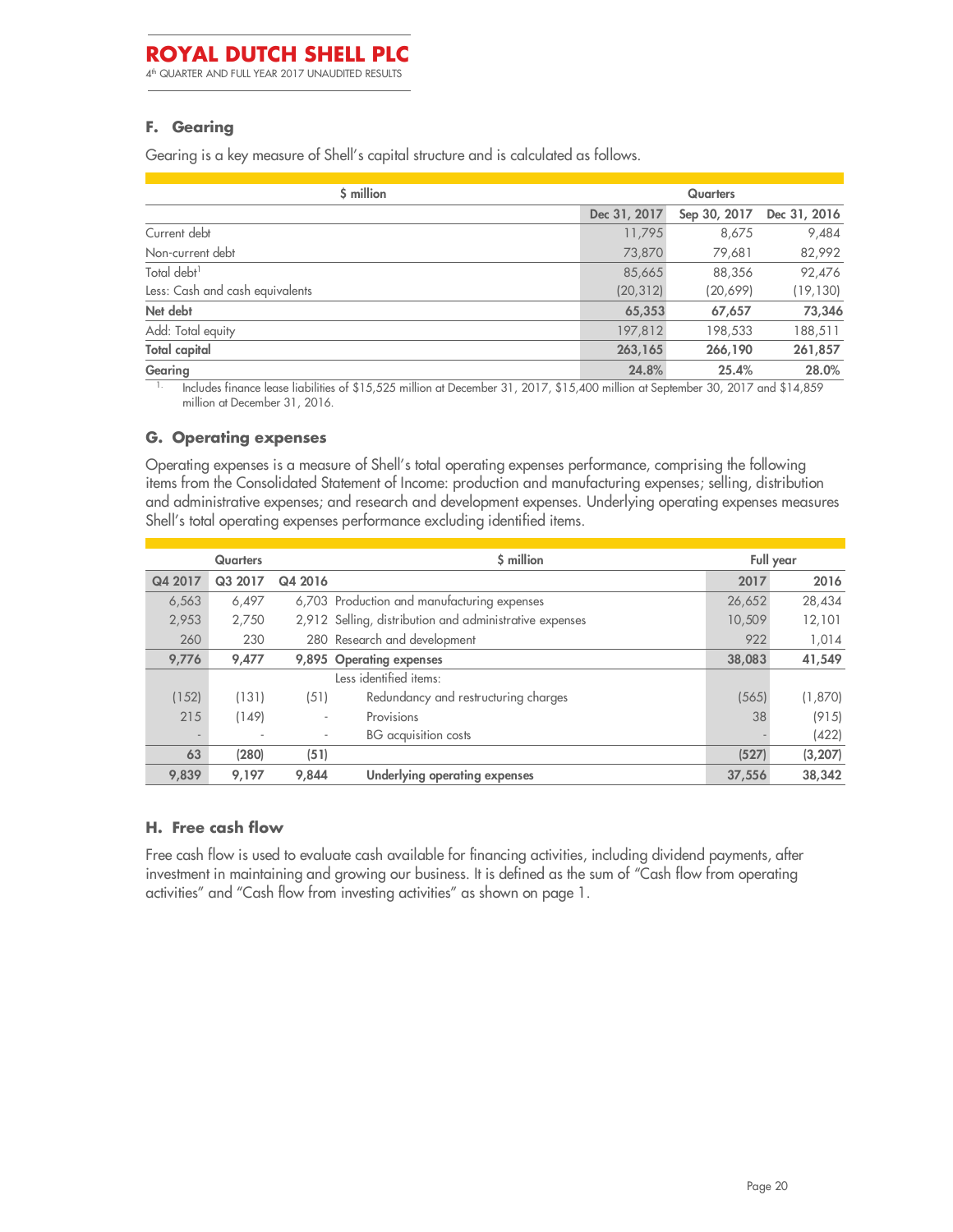4 th QUARTER AND FULL YEAR 2017 UNAUDITED RESULTS

### **F. Gearing**

Gearing is a key measure of Shell's capital structure and is calculated as follows.

| \$ million                      | <b>Quarters</b> |              |              |  |
|---------------------------------|-----------------|--------------|--------------|--|
|                                 | Dec 31, 2017    | Sep 30, 2017 | Dec 31, 2016 |  |
| Current debt                    | 11,795          | 8,675        | 9,484        |  |
| Non-current debt                | 73,870          | 79,681       | 82,992       |  |
| Total debt <sup>1</sup>         | 85,665          | 88,356       | 92,476       |  |
| Less: Cash and cash equivalents | (20, 312)       | (20,699)     | (19, 130)    |  |
| Net debt                        | 65,353          | 67,657       | 73,346       |  |
| Add: Total equity               | 197,812         | 198,533      | 188,511      |  |
| <b>Total capital</b>            | 263,165         | 266,190      | 261,857      |  |
| Gearing                         | 24.8%           | 25.4%        | 28.0%        |  |

1. Includes finance lease liabilities of \$15,525 million at December 31, 2017, \$15,400 million at September 30, 2017 and \$14,859 million at December 31, 2016.

#### **G. Operating expenses**

Operating expenses is a measure of Shell's total operating expenses performance, comprising the following items from the Consolidated Statement of Income: production and manufacturing expenses; selling, distribution and administrative expenses; and research and development expenses. Underlying operating expenses measures Shell's total operating expenses performance excluding identified items.

|                          | <b>Quarters</b> |                          | \$ million                                              |        | Full year |
|--------------------------|-----------------|--------------------------|---------------------------------------------------------|--------|-----------|
| Q4 2017                  | Q3 2017         | Q4 2016                  |                                                         | 2017   | 2016      |
| 6,563                    | 6,497           |                          | 6,703 Production and manufacturing expenses             | 26,652 | 28,434    |
| 2,953                    | 2,750           |                          | 2,912 Selling, distribution and administrative expenses | 10,509 | 12,101    |
| 260                      | 230             |                          | 280 Research and development                            | 922    | 1,014     |
| 9,776                    | 9,477           |                          | 9,895 Operating expenses                                | 38,083 | 41,549    |
|                          |                 |                          | Less identified items:                                  |        |           |
| (152)                    | (131)           | (51)                     | Redundancy and restructuring charges                    | (565)  | (1,870)   |
| 215                      | (149)           | $\overline{\phantom{a}}$ | Provisions                                              | 38     | (915)     |
| $\overline{\phantom{a}}$ |                 | $\overline{\phantom{a}}$ | BG acquisition costs                                    |        | (422)     |
| 63                       | (280)           | (51)                     |                                                         | (527)  | (3, 207)  |
| 9,839                    | 9,197           | 9,844                    | Underlying operating expenses                           | 37,556 | 38,342    |

#### **H. Free cash flow**

Free cash flow is used to evaluate cash available for financing activities, including dividend payments, after investment in maintaining and growing our business. It is defined as the sum of "Cash flow from operating activities" and "Cash flow from investing activities" as shown on page 1.